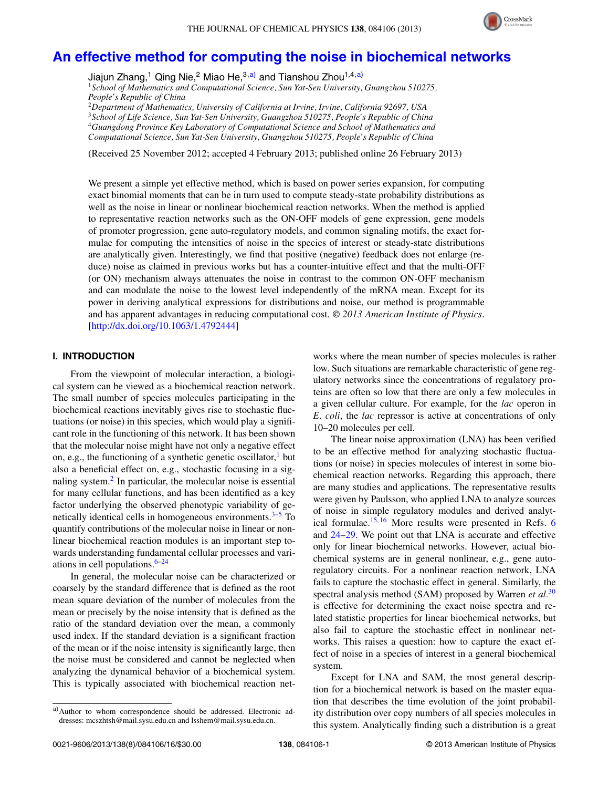

# **[An effective method for computing the noise in biochemical networks](http://dx.doi.org/10.1063/1.4792444)**

Jiajun Zhang,<sup>1</sup> Qing Nie,<sup>2</sup> Miao He,<sup>3[,a\)](#page-0-0)</sup> and Tianshou Zhou<sup>1,4,a)</sup>

<sup>1</sup>*School of Mathematics and Computational Science, Sun Yat-Sen University, Guangzhou 510275, People's Republic of China*

<sup>2</sup>*Department of Mathematics, University of California at Irvine, Irvine, California 92697, USA*

<sup>3</sup>*School of Life Science, Sun Yat-Sen University, Guangzhou 510275, People's Republic of China* <sup>4</sup>*Guangdong Province Key Laboratory of Computational Science and School of Mathematics and*

*Computational Science, Sun Yat-Sen University, Guangzhou 510275, People's Republic of China*

(Received 25 November 2012; accepted 4 February 2013; published online 26 February 2013)

We present a simple yet effective method, which is based on power series expansion, for computing exact binomial moments that can be in turn used to compute steady-state probability distributions as well as the noise in linear or nonlinear biochemical reaction networks. When the method is applied to representative reaction networks such as the ON-OFF models of gene expression, gene models of promoter progression, gene auto-regulatory models, and common signaling motifs, the exact formulae for computing the intensities of noise in the species of interest or steady-state distributions are analytically given. Interestingly, we find that positive (negative) feedback does not enlarge (reduce) noise as claimed in previous works but has a counter-intuitive effect and that the multi-OFF (or ON) mechanism always attenuates the noise in contrast to the common ON-OFF mechanism and can modulate the noise to the lowest level independently of the mRNA mean. Except for its power in deriving analytical expressions for distributions and noise, our method is programmable and has apparent advantages in reducing computational cost. *© 2013 American Institute of Physics*. [\[http://dx.doi.org/10.1063/1.4792444\]](http://dx.doi.org/10.1063/1.4792444)

# **I. INTRODUCTION**

From the viewpoint of molecular interaction, a biological system can be viewed as a biochemical reaction network. The small number of species molecules participating in the biochemical reactions inevitably gives rise to stochastic fluctuations (or noise) in this species, which would play a significant role in the functioning of this network. It has been shown that the molecular noise might have not only a negative effect on, e.g., the functioning of a synthetic genetic oscillator, $\frac{1}{1}$  $\frac{1}{1}$  $\frac{1}{1}$  but also a beneficial effect on, e.g., stochastic focusing in a signaling system. $<sup>2</sup>$  In particular, the molecular noise is essential</sup> for many cellular functions, and has been identified as a key factor underlying the observed phenotypic variability of ge-netically identical cells in homogeneous environments.<sup>[3–](#page-14-2)[5](#page-14-3)</sup> To quantify contributions of the molecular noise in linear or nonlinear biochemical reaction modules is an important step towards understanding fundamental cellular processes and variations in cell populations. $6-24$ 

In general, the molecular noise can be characterized or coarsely by the standard difference that is defined as the root mean square deviation of the number of molecules from the mean or precisely by the noise intensity that is defined as the ratio of the standard deviation over the mean, a commonly used index. If the standard deviation is a significant fraction of the mean or if the noise intensity is significantly large, then the noise must be considered and cannot be neglected when analyzing the dynamical behavior of a biochemical system. This is typically associated with biochemical reaction networks where the mean number of species molecules is rather low. Such situations are remarkable characteristic of gene regulatory networks since the concentrations of regulatory proteins are often so low that there are only a few molecules in a given cellular culture. For example, for the *lac* operon in *E. coli*, the *lac* repressor is active at concentrations of only 10–20 molecules per cell.

The linear noise approximation (LNA) has been verified to be an effective method for analyzing stochastic fluctuations (or noise) in species molecules of interest in some biochemical reaction networks. Regarding this approach, there are many studies and applications. The representative results were given by Paulsson, who applied LNA to analyze sources of noise in simple regulatory modules and derived analyt-ical formulae.<sup>[15,](#page-14-6) [16](#page-14-7)</sup> More results were presented in Refs. [6](#page-14-4) and [24–](#page-14-5)[29.](#page-14-8) We point out that LNA is accurate and effective only for linear biochemical networks. However, actual biochemical systems are in general nonlinear, e.g., gene autoregulatory circuits. For a nonlinear reaction network, LNA fails to capture the stochastic effect in general. Similarly, the spectral analysis method (SAM) proposed by Warren *et al.*[30](#page-14-9) is effective for determining the exact noise spectra and related statistic properties for linear biochemical networks, but also fail to capture the stochastic effect in nonlinear networks. This raises a question: how to capture the exact effect of noise in a species of interest in a general biochemical system.

Except for LNA and SAM, the most general description for a biochemical network is based on the master equation that describes the time evolution of the joint probability distribution over copy numbers of all species molecules in this system. Analytically finding such a distribution is a great

<span id="page-0-0"></span>a)Author to whom correspondence should be addressed. Electronic addresses: [mcszhtsh@mail.sysu.edu.cn](mailto: mcszhtsh@mail.sysu.edu.cn) and [lsshem@mail.sysu.edu.cn.](mailto: lsshem@mail.sysu.edu.cn)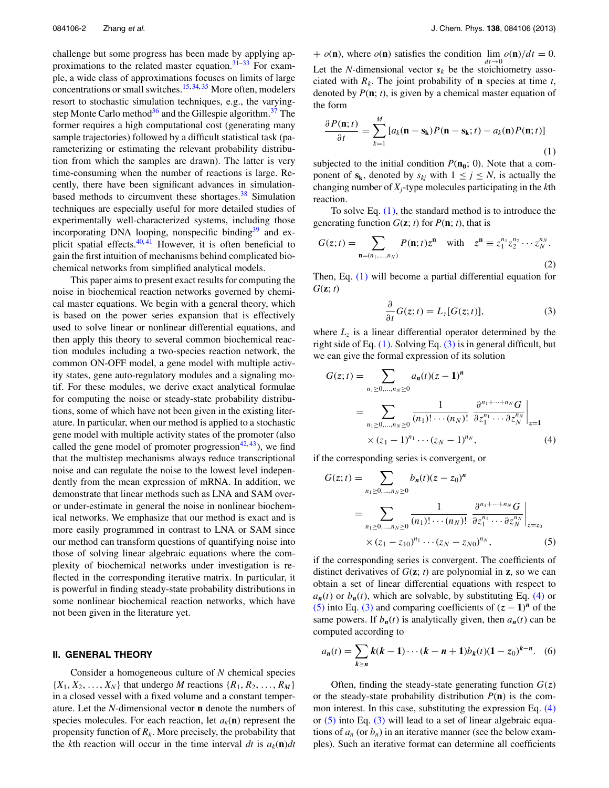challenge but some progress has been made by applying approximations to the related master equation. $31-33$  $31-33$  For example, a wide class of approximations focuses on limits of large concentrations or small switches.<sup>[15,](#page-14-6) [34,](#page-14-12) [35](#page-14-13)</sup> More often, modelers resort to stochastic simulation techniques, e.g., the varying-step Monte Carlo method<sup>36</sup> and the Gillespie algorithm.<sup>[37](#page-14-15)</sup> The former requires a high computational cost (generating many sample trajectories) followed by a difficult statistical task (parameterizing or estimating the relevant probability distribution from which the samples are drawn). The latter is very time-consuming when the number of reactions is large. Recently, there have been significant advances in simulation-based methods to circumvent these shortages.<sup>[38](#page-14-16)</sup> Simulation techniques are especially useful for more detailed studies of experimentally well-characterized systems, including those incorporating DNA looping, nonspecific binding $39$  and explicit spatial effects. $40, 41$  $40, 41$  However, it is often beneficial to gain the first intuition of mechanisms behind complicated biochemical networks from simplified analytical models.

This paper aims to present exact results for computing the noise in biochemical reaction networks governed by chemical master equations. We begin with a general theory, which is based on the power series expansion that is effectively used to solve linear or nonlinear differential equations, and then apply this theory to several common biochemical reaction modules including a two-species reaction network, the common ON-OFF model, a gene model with multiple activity states, gene auto-regulatory modules and a signaling motif. For these modules, we derive exact analytical formulae for computing the noise or steady-state probability distributions, some of which have not been given in the existing literature. In particular, when our method is applied to a stochastic gene model with multiple activity states of the promoter (also called the gene model of promoter progression<sup> $42, 43$ </sup>), we find that the multistep mechanisms always reduce transcriptional noise and can regulate the noise to the lowest level independently from the mean expression of mRNA. In addition, we demonstrate that linear methods such as LNA and SAM overor under-estimate in general the noise in nonlinear biochemical networks. We emphasize that our method is exact and is more easily programmed in contrast to LNA or SAM since our method can transform questions of quantifying noise into those of solving linear algebraic equations where the complexity of biochemical networks under investigation is reflected in the corresponding iterative matrix. In particular, it is powerful in finding steady-state probability distributions in some nonlinear biochemical reaction networks, which have not been given in the literature yet.

## **II. GENERAL THEORY**

Consider a homogeneous culture of *N* chemical species  $\{X_1, X_2, \ldots, X_N\}$  that undergo *M* reactions  $\{R_1, R_2, \ldots, R_M\}$ in a closed vessel with a fixed volume and a constant temperature. Let the *N*-dimensional vector **n** denote the numbers of species molecules. For each reaction, let  $a_k(n)$  represent the propensity function of  $R_k$ . More precisely, the probability that the *k*th reaction will occur in the time interval *dt* is  $a_k(n)dt$ 

+  $o(\mathbf{n})$ , where  $o(\mathbf{n})$  satisfies the condition  $\lim_{dt\to 0} o(\mathbf{n})/dt = 0$ . Let the *N*-dimensional vector  $s_k$  be the stoichiometry associated with  $R_k$ . The joint probability of **n** species at time *t*, denoted by  $P(n; t)$ , is given by a chemical master equation of the form

<span id="page-1-0"></span>
$$
\frac{\partial P(\mathbf{n};t)}{\partial t} = \sum_{k=1}^{M} \left[ a_k (\mathbf{n} - \mathbf{s_k}) P(\mathbf{n} - \mathbf{s_k}; t) - a_k (\mathbf{n}) P(\mathbf{n}; t) \right]
$$
(1)

subjected to the initial condition  $P(\mathbf{n}_0; 0)$ . Note that a component of  $s_k$ , denoted by  $s_{ki}$  with  $1 \leq j \leq N$ , is actually the changing number of *Xj*-type molecules participating in the *k*th reaction.

To solve Eq.  $(1)$ , the standard method is to introduce the generating function  $G(\mathbf{z}; t)$  for  $P(\mathbf{n}; t)$ , that is

$$
G(z;t) = \sum_{\mathbf{n}=(n_1,\ldots,n_N)} P(\mathbf{n};t)z^{\mathbf{n}} \quad \text{with} \quad z^{\mathbf{n}} \equiv z_1^{n_1} z_2^{n_2} \cdots z_N^{n_N}.
$$
\n(2)

<span id="page-1-1"></span>Then, Eq. [\(1\)](#page-1-0) will become a partial differential equation for *G*(**z**; *t*)

<span id="page-1-2"></span>
$$
\frac{\partial}{\partial t}G(z;t) = L_z[G(z;t)],\tag{3}
$$

where  $L<sub>z</sub>$  is a linear differential operator determined by the right side of Eq. [\(1\).](#page-1-0) Solving Eq. [\(3\)](#page-1-1) is in general difficult, but we can give the formal expression of its solution

$$
G(z;t) = \sum_{n_1 \ge 0, ..., n_N \ge 0} a_n(t)(z-1)^n
$$
  
= 
$$
\sum_{n_1 \ge 0, ..., n_N \ge 0} \frac{1}{(n_1)! \cdots (n_N)!} \frac{\partial^{n_1 + \cdots + n_N} G}{\partial z_1^{n_1} \cdots \partial z_N^{n_N}} \Big|_{z=1}
$$
  
×  $(z_1 - 1)^{n_1} \cdots (z_N - 1)^{n_N}$ , (4)

if the corresponding series is convergent, or

<span id="page-1-3"></span>
$$
G(z;t) = \sum_{n_1 \ge 0, ..., n_N \ge 0} b_n(t)(z - z_0)^n
$$
  
= 
$$
\sum_{n_1 \ge 0, ..., n_N \ge 0} \frac{1}{(n_1)! \cdots (n_N)!} \frac{\partial^{n_1 + \cdots + n_N} G}{\partial z_1^{n_1} \cdots \partial z_N^{n_N}} \Big|_{z = z_0}
$$
  
×  $(z_1 - z_{10})^{n_1} \cdots (z_N - z_{N0})^{n_N}$ , (5)

if the corresponding series is convergent. The coefficients of distinct derivatives of  $G(\mathbf{z}; t)$  are polynomial in **z**, so we can obtain a set of linear differential equations with respect to  $a_n(t)$  or  $b_n(t)$ , which are solvable, by substituting Eq. [\(4\)](#page-1-2) or [\(5\)](#page-1-3) into Eq. [\(3\)](#page-1-1) and comparing coefficients of  $(z - 1)^n$  of the same powers. If  $b_n(t)$  is analytically given, then  $a_n(t)$  can be computed according to

<span id="page-1-4"></span>
$$
a_n(t) = \sum_{k \ge n} k(k-1) \cdots (k-n+1) b_k(t) (1-z_0)^{k-n}.
$$
 (6)

Often, finding the steady-state generating function *G*(*z*) or the steady-state probability distribution  $P(n)$  is the common interest. In this case, substituting the expression Eq. [\(4\)](#page-1-2) or [\(5\)](#page-1-3) into Eq. [\(3\)](#page-1-1) will lead to a set of linear algebraic equations of  $a_n$  (or  $b_n$ ) in an iterative manner (see the below examples). Such an iterative format can determine all coefficients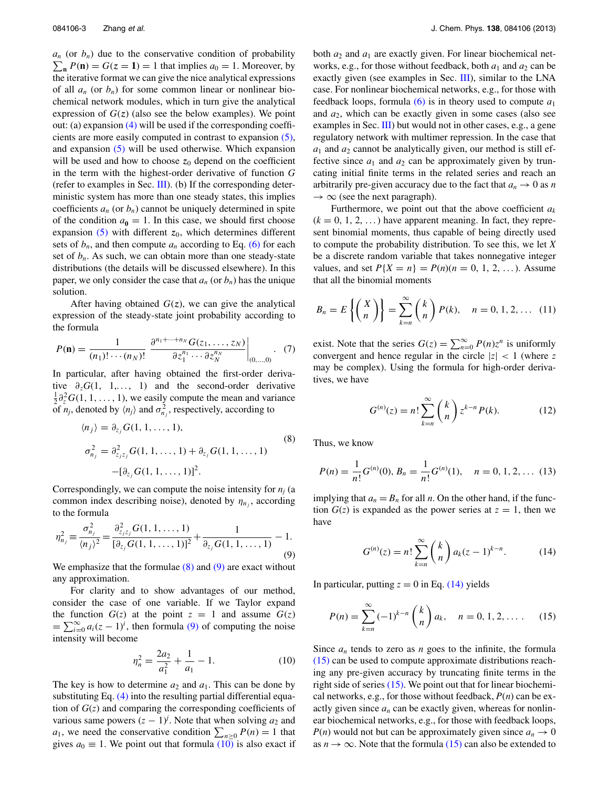$a_n$  (or  $b_n$ ) due to the conservative condition of probability  $a_n$  (or  $b_n$ ) due to the conservative condition of probability  $\sum_{n} P(n) = G(z = 1) = 1$  that implies  $a_0 = 1$ . Moreover, by the iterative format we can give the nice analytical expressions of all  $a_n$  (or  $b_n$ ) for some common linear or nonlinear biochemical network modules, which in turn give the analytical expression of  $G(z)$  (also see the below examples). We point out: (a) expansion [\(4\)](#page-1-2) will be used if the corresponding coefficients are more easily computed in contrast to expansion [\(5\),](#page-1-3) and expansion [\(5\)](#page-1-3) will be used otherwise. Which expansion will be used and how to choose  $z_0$  depend on the coefficient in the term with the highest-order derivative of function *G* (refer to examples in Sec. [III\)](#page-3-0). (b) If the corresponding deterministic system has more than one steady states, this implies coefficients  $a_n$  (or  $b_n$ ) cannot be uniquely determined in spite of the condition  $a_0 = 1$ . In this case, we should first choose expansion  $(5)$  with different  $z_0$ , which determines different sets of  $b_n$ , and then compute  $a_n$  according to Eq. [\(6\)](#page-1-4) for each set of  $b_n$ . As such, we can obtain more than one steady-state distributions (the details will be discussed elsewhere). In this paper, we only consider the case that  $a_n$  (or  $b_n$ ) has the unique solution.

After having obtained  $G(z)$ , we can give the analytical expression of the steady-state joint probability according to the formula

$$
P(\mathbf{n}) = \frac{1}{(n_1)! \cdots (n_N)!} \left. \frac{\partial^{n_1 + \cdots + n_N} G(z_1, \ldots, z_N)}{\partial z_1^{n_1} \cdots \partial z_N^{n_N}} \right|_{(0, \ldots, 0)}.
$$
 (7)

In particular, after having obtained the first-order derivative  $\partial_{z}G(1, 1,..., 1)$  and the second-order derivative  $\frac{1}{2} \partial_z^2 G(1, 1, \ldots, 1)$ , we easily compute the mean and variance of  $n_j$ , denoted by  $\langle n_j \rangle$  and  $\sigma_{n_j}^2$ , respectively, according to

$$
\langle n_j \rangle = \partial_{z_j} G(1, 1, ..., 1),
$$
  
\n
$$
\sigma_{n_j}^2 = \partial_{z_j z_j}^2 G(1, 1, ..., 1) + \partial_{z_j} G(1, 1, ..., 1)
$$
  
\n
$$
-[\partial_{z_j} G(1, 1, ..., 1)]^2.
$$
\n(8)

Correspondingly, we can compute the noise intensity for  $n_i$  (a common index describing noise), denoted by  $\eta_{n_j}$ , according to the formula

<span id="page-2-1"></span>
$$
\eta_{n_j}^2 \equiv \frac{\sigma_{n_j}^2}{\langle n_j \rangle^2} = \frac{\partial_{z_j z_j}^2 G(1, 1, \dots, 1)}{\left[\partial_{z_j} G(1, 1, \dots, 1)\right]^2} + \frac{1}{\partial_{z_j} G(1, 1, \dots, 1)} - 1.
$$
\n(9)

We emphasize that the formulae  $(8)$  and  $(9)$  are exact without any approximation.

For clarity and to show advantages of our method, consider the case of one variable. If we Taylor expand the function  $G(z)$  at the point  $z = 1$  and assume  $G(z)$  $=\sum_{i=0}^{\infty} a_i(z-1)^i$ , then formula [\(9\)](#page-2-1) of computing the noise intensity will become

<span id="page-2-2"></span>
$$
\eta_n^2 = \frac{2a_2}{a_1^2} + \frac{1}{a_1} - 1. \tag{10}
$$

The key is how to determine  $a_2$  and  $a_1$ . This can be done by substituting Eq. [\(4\)](#page-1-2) into the resulting partial differential equation of *G*(*z*) and comparing the corresponding coefficients of various same powers  $(z - 1)^j$ . Note that when solving  $a_2$  and *a*<sub>1</sub>, we need the conservative condition  $\sum_{n\geq 0} P(n) = 1$  that gives  $a_0 \equiv 1$ . We point out that formula [\(10\)](#page-2-2) is also exact if both  $a_2$  and  $a_1$  are exactly given. For linear biochemical networks, e.g., for those without feedback, both  $a_1$  and  $a_2$  can be exactly given (see examples in Sec. [III\)](#page-3-0), similar to the LNA case. For nonlinear biochemical networks, e.g., for those with feedback loops, formula  $(6)$  is in theory used to compute  $a_1$ and *a*2, which can be exactly given in some cases (also see examples in Sec. [III\)](#page-3-0) but would not in other cases, e.g., a gene regulatory network with multimer repression. In the case that  $a_1$  and  $a_2$  cannot be analytically given, our method is still effective since  $a_1$  and  $a_2$  can be approximately given by truncating initial finite terms in the related series and reach an arbitrarily pre-given accuracy due to the fact that  $a_n \to 0$  as *n*  $\rightarrow \infty$  (see the next paragraph).

Furthermore, we point out that the above coefficient *ak*  $(k = 0, 1, 2, ...)$  have apparent meaning. In fact, they represent binomial moments, thus capable of being directly used to compute the probability distribution. To see this, we let *X* be a discrete random variable that takes nonnegative integer values, and set  $P{X = n} = P(n)(n = 0, 1, 2, ...)$ . Assume that all the binomial moments

$$
B_n = E\left\{ \binom{X}{n} \right\} = \sum_{k=n}^{\infty} \binom{k}{n} P(k), \quad n = 0, 1, 2, \dots \quad (11)
$$

exist. Note that the series  $G(z) = \sum_{n=0}^{\infty} P(n)z^n$  is uniformly convergent and hence regular in the circle |*z*| *<* 1 (where *z* may be complex). Using the formula for high-order derivatives, we have

$$
G^{(n)}(z) = n! \sum_{k=n}^{\infty} {k \choose n} z^{k-n} P(k).
$$
 (12)

<span id="page-2-0"></span>Thus, we know

$$
P(n) = \frac{1}{n!} G^{(n)}(0), B_n = \frac{1}{n!} G^{(n)}(1), \quad n = 0, 1, 2, \dots (13)
$$

<span id="page-2-3"></span>implying that  $a_n = B_n$  for all *n*. On the other hand, if the function  $G(z)$  is expanded as the power series at  $z = 1$ , then we have

<span id="page-2-4"></span>
$$
G^{(n)}(z) = n! \sum_{k=n}^{\infty} {k \choose n} a_k (z-1)^{k-n}.
$$
 (14)

In particular, putting  $z = 0$  in Eq. [\(14\)](#page-2-3) yields

$$
P(n) = \sum_{k=n}^{\infty} (-1)^{k-n} {k \choose n} a_k, \quad n = 0, 1, 2, \dots
$$
 (15)

Since  $a_n$  tends to zero as  $n$  goes to the infinite, the formula [\(15\)](#page-2-4) can be used to compute approximate distributions reaching any pre-given accuracy by truncating finite terms in the right side of series [\(15\).](#page-2-4) We point out that for linear biochemical networks, e.g., for those without feedback, *P*(*n*) can be exactly given since  $a_n$  can be exactly given, whereas for nonlinear biochemical networks, e.g., for those with feedback loops, *P(n)* would not but can be approximately given since  $a_n \to 0$ as  $n \to \infty$ . Note that the formula [\(15\)](#page-2-4) can also be extended to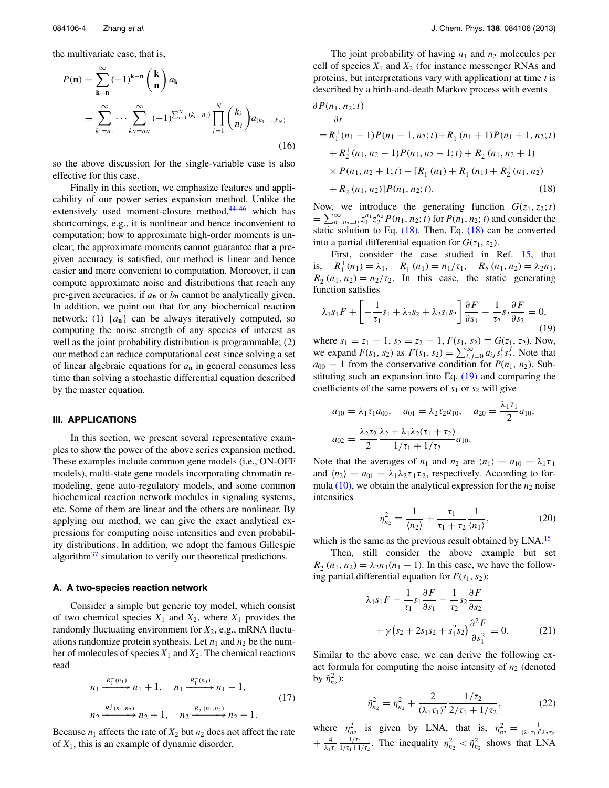the multivariate case, that is,

<span id="page-3-4"></span>
$$
P(\mathbf{n}) = \sum_{k=n}^{\infty} (-1)^{k-n} {k \choose \mathbf{n}} a_k
$$
  

$$
\equiv \sum_{k_1=n_1}^{\infty} \cdots \sum_{k_N=n_N}^{\infty} (-1)^{\sum_{i=1}^{N} (k_i - n_i)} \prod_{i=1}^{N} {k_i \choose n_i} a_{(k_1,...,k_N)}
$$
(16)

so the above discussion for the single-variable case is also effective for this case.

Finally in this section, we emphasize features and applicability of our power series expansion method. Unlike the extensively used moment-closure method,  $44-46$  $44-46$  which has shortcomings, e.g., it is nonlinear and hence inconvenient to computation; how to approximate high-order moments is unclear; the approximate moments cannot guarantee that a pregiven accuracy is satisfied, our method is linear and hence easier and more convenient to computation. Moreover, it can compute approximate noise and distributions that reach any pre-given accuracies, if  $a_n$  or  $b_n$  cannot be analytically given. In addition, we point out that for any biochemical reaction network: (1)  $\{a_n\}$  can be always iteratively computed, so computing the noise strength of any species of interest as well as the joint probability distribution is programmable; (2) our method can reduce computational cost since solving a set of linear algebraic equations for  $a_n$  in general consumes less time than solving a stochastic differential equation described by the master equation.

## <span id="page-3-0"></span>**III. APPLICATIONS**

In this section, we present several representative examples to show the power of the above series expansion method. These examples include common gene models (i.e., ON-OFF models), multi-state gene models incorporating chromatin remodeling, gene auto-regulatory models, and some common biochemical reaction network modules in signaling systems, etc. Some of them are linear and the others are nonlinear. By applying our method, we can give the exact analytical expressions for computing noise intensities and even probability distributions. In addition, we adopt the famous Gillespie algorithm<sup>37</sup> simulation to verify our theoretical predictions.

#### **A. A two-species reaction network**

Consider a simple but generic toy model, which consist of two chemical species  $X_1$  and  $X_2$ , where  $X_1$  provides the randomly fluctuating environment for  $X_2$ , e.g., mRNA fluctuations randomize protein synthesis. Let  $n_1$  and  $n_2$  be the number of molecules of species  $X_1$  and  $X_2$ . The chemical reactions read

<span id="page-3-3"></span>
$$
n_1 \xrightarrow{R_1^+(n_1)} n_1 + 1, \quad n_1 \xrightarrow{R_1^-(n_1)} n_1 - 1,
$$
  
\n
$$
n_2 \xrightarrow{R_2^+(n_1, n_2)} n_2 + 1, \quad n_2 \xrightarrow{R_2^-(n_1, n_2)} n_2 - 1.
$$
\n(17)

Because  $n_1$  affects the rate of  $X_2$  but  $n_2$  does not affect the rate of *X*1, this is an example of dynamic disorder.

The joint probability of having  $n_1$  and  $n_2$  molecules per cell of species  $X_1$  and  $X_2$  (for instance messenger RNAs and proteins, but interpretations vary with application) at time *t* is described by a birth-and-death Markov process with events

<span id="page-3-1"></span>
$$
\frac{\partial P(n_1, n_2; t)}{\partial t}
$$
\n
$$
= R_1^+(n_1 - 1)P(n_1 - 1, n_2; t) + R_1^-(n_1 + 1)P(n_1 + 1, n_2; t) + R_2^+(n_1, n_2 - 1)P(n_1, n_2 - 1; t) + R_2^-(n_1, n_2 + 1) \times P(n_1, n_2 + 1; t) - [R_1^+(n_1) + R_1^-(n_1) + R_2^+(n_1, n_2) + R_2^-(n_1, n_2)]P(n_1, n_2; t). \tag{18}
$$

Now, we introduce the generating function  $G(z_1, z_2; t)$  $=\sum_{n_1,n_2=0}^{\infty} z_1^{n_1} z_2^{n_2} P(n_1, n_2; t)$  for  $P(n_1, n_2; t)$  and consider the static solution to Eq. [\(18\).](#page-3-1) Then, Eq. [\(18\)](#page-3-1) can be converted into a partial differential equation for  $G(z_1, z_2)$ .

First, consider the case studied in Ref. [15,](#page-14-6) that is,  $R_1^+(n_1) = \lambda_1$ ,  $R_1^-(n_1) = n_1/\tau_1$ ,  $R_2^+(n_1, n_2) = \lambda_2 n_1$ ,  $R_2^-(n_1, n_2) = n_2/\tau_2$ . In this case, the static generating function satisfies

<span id="page-3-2"></span>
$$
\lambda_1 s_1 F + \left[ -\frac{1}{\tau_1} s_1 + \lambda_2 s_2 + \lambda_2 s_1 s_2 \right] \frac{\partial F}{\partial s_1} - \frac{1}{\tau_2} s_2 \frac{\partial F}{\partial s_2} = 0,
$$
\n(19)

where  $s_1 = z_1 - 1$ ,  $s_2 = z_2 - 1$ ,  $F(s_1, s_2) \equiv G(z_1, z_2)$ . Now, we expand  $F(s_1, s_2)$  as  $F(s_1, s_2) = \sum_{i,j=0}^{\infty} a_{ij} s_1^i s_2^j$ . Note that  $a_{00} = 1$  from the conservative condition for  $P(n_1, n_2)$ . Substituting such an expansion into Eq. [\(19\)](#page-3-2) and comparing the coefficients of the same powers of  $s_1$  or  $s_2$  will give

$$
a_{10} = \lambda_1 \tau_1 a_{00}, \quad a_{01} = \lambda_2 \tau_2 a_{10}, \quad a_{20} = \frac{\lambda_1 \tau_1}{2} a_{10},
$$

$$
a_{02} = \frac{\lambda_2 \tau_2}{2} \frac{\lambda_2 + \lambda_1 \lambda_2 (\tau_1 + \tau_2)}{1/\tau_1 + 1/\tau_2} a_{10}.
$$

Note that the averages of  $n_1$  and  $n_2$  are  $\langle n_1 \rangle = a_{10} = \lambda_1 \tau_1$ and  $\langle n_2 \rangle = a_{01} = \lambda_1 \lambda_2 \tau_1 \tau_2$ , respectively. According to formula  $(10)$ , we obtain the analytical expression for the  $n_2$  noise intensities

$$
\eta_{n_2}^2 = \frac{1}{\langle n_2 \rangle} + \frac{\tau_1}{\tau_1 + \tau_2} \frac{1}{\langle n_1 \rangle},\tag{20}
$$

which is the same as the previous result obtained by  $LNA$ .<sup>[15](#page-14-6)</sup>

Then, still consider the above example but set  $R_2^+(n_1, n_2) = \lambda_2 n_1(n_1 - 1)$ . In this case, we have the following partial differential equation for  $F(s_1, s_2)$ :

$$
\lambda_1 s_1 F - \frac{1}{\tau_1} s_1 \frac{\partial F}{\partial s_1} - \frac{1}{\tau_2} s_2 \frac{\partial F}{\partial s_2} + \gamma (s_2 + 2s_1 s_2 + s_1^2 s_2) \frac{\partial^2 F}{\partial s_1^2} = 0.
$$
 (21)

Similar to the above case, we can derive the following exact formula for computing the noise intensity of  $n_2$  (denoted by  $\tilde{\eta}_{n_2}^2$ ):

$$
\tilde{\eta}_{n_2}^2 = \eta_{n_2}^2 + \frac{2}{(\lambda_1 \tau_1)^2} \frac{1/\tau_2}{2/\tau_1 + 1/\tau_2},\tag{22}
$$

where  $\eta_{n_2}^2$  is given by LNA, that is,  $\eta_{n_2}^2 = \frac{1}{(\lambda_1 \tau_1)^2 \lambda_2 \tau_2}$  $+\frac{4}{\lambda_1\tau_1}$  $\frac{1/\tau_2}{1/\tau_1 + 1/\tau_2}$ . The inequality  $\eta_{n_2}^2 < \tilde{\eta}_{n_2}^2$  shows that LNA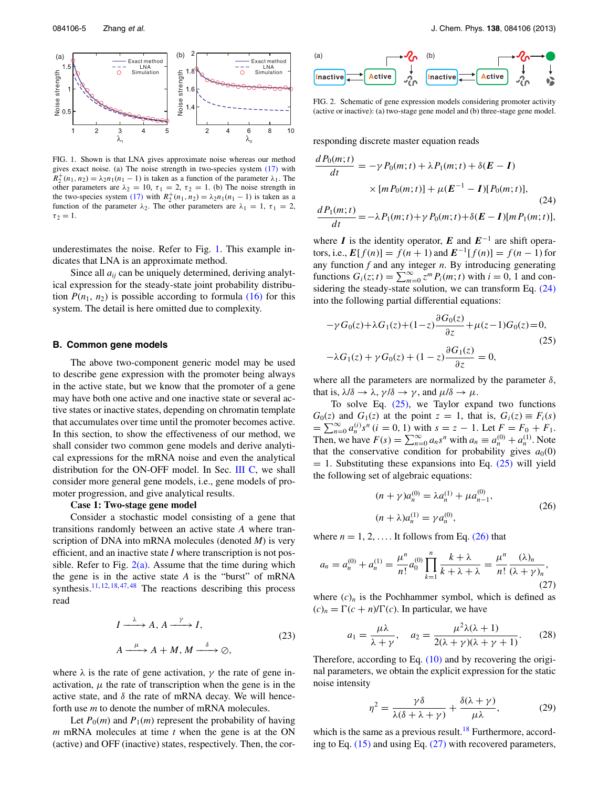<span id="page-4-0"></span>

FIG. 1. Shown is that LNA gives approximate noise whereas our method gives exact noise. (a) The noise strength in two-species system [\(17\)](#page-3-3) with  $R_2^+(n_1, n_2) = \lambda_2 n_1(n_1 - 1)$  is taken as a function of the parameter  $\lambda_1$ . The other parameters are  $\lambda_2 = 10$ ,  $\tau_1 = 2$ ,  $\tau_2 = 1$ . (b) The noise strength in the two-species system [\(17\)](#page-3-3) with  $R_2^+(n_1, n_2) = \lambda_2 n_1(n_1 - 1)$  is taken as a function of the parameter  $\lambda_2$ . The other parameters are  $\lambda_1 = 1$ ,  $\tau_1 = 2$ ,  $\tau_2 = 1$ .

underestimates the noise. Refer to Fig. [1.](#page-4-0) This example indicates that LNA is an approximate method.

Since all *aij* can be uniquely determined, deriving analytical expression for the steady-state joint probability distribution  $P(n_1, n_2)$  is possible according to formula [\(16\)](#page-3-4) for this system. The detail is here omitted due to complexity.

## **B. Common gene models**

The above two-component generic model may be used to describe gene expression with the promoter being always in the active state, but we know that the promoter of a gene may have both one active and one inactive state or several active states or inactive states, depending on chromatin template that accumulates over time until the promoter becomes active. In this section, to show the effectiveness of our method, we shall consider two common gene models and derive analytical expressions for the mRNA noise and even the analytical distribution for the ON-OFF model. In Sec. [III C,](#page-6-0) we shall consider more general gene models, i.e., gene models of promoter progression, and give analytical results.

### **Case 1: Two-stage gene model**

Consider a stochastic model consisting of a gene that transitions randomly between an active state *A* where transcription of DNA into mRNA molecules (denoted *M*) is very efficient, and an inactive state *I* where transcription is not possible. Refer to Fig.  $2(a)$ . Assume that the time during which the gene is in the active state *A* is the "burst" of mRNA synthesis.<sup>11, [12,](#page-14-25) [18,](#page-14-26) [47,](#page-14-27) [48](#page-14-28)</sup> The reactions describing this process read

$$
I \xrightarrow{\lambda} A, A \xrightarrow{\gamma} I,
$$
  
\n
$$
A \xrightarrow{\mu} A + M, M \xrightarrow{\delta} \oslash,
$$
\n(23)

where  $\lambda$  is the rate of gene activation,  $\gamma$  the rate of gene inactivation,  $\mu$  the rate of transcription when the gene is in the active state, and *δ* the rate of mRNA decay. We will henceforth use *m* to denote the number of mRNA molecules.

Let  $P_0(m)$  and  $P_1(m)$  represent the probability of having *m* mRNA molecules at time *t* when the gene is at the ON (active) and OFF (inactive) states, respectively. Then, the cor-

<span id="page-4-1"></span>

FIG. 2. Schematic of gene expression models considering promoter activity (active or inactive): (a) two-stage gene model and (b) three-stage gene model.

responding discrete master equation reads

<span id="page-4-2"></span>
$$
\frac{dP_0(m;t)}{dt} = -\gamma P_0(m;t) + \lambda P_1(m;t) + \delta(E - I)
$$
  
 
$$
\times [mP_0(m;t)] + \mu(E^{-1} - I)[P_0(m;t)],
$$
  
(24)  

$$
\frac{dP_1(m;t)}{dt} = -\lambda P_1(m;t) + \gamma P_0(m;t) + \delta(E - I)[mP_1(m;t)],
$$

where *I* is the identity operator, *E* and  $E^{-1}$  are shift operators, i.e.,  $E[f(n)] = f(n+1)$  and  $E^{-1}[f(n)] = f(n-1)$  for any function *f* and any integer *n*. By introducing generating functions  $G_i(z;t) = \sum_{m=0}^{\infty} z^m P_i(m;t)$  with  $i = 0, 1$  and considering the steady-state solution, we can transform Eq. [\(24\)](#page-4-2) into the following partial differential equations:

<span id="page-4-3"></span>
$$
-\gamma G_0(z) + \lambda G_1(z) + (1 - z) \frac{\partial G_0(z)}{\partial z} + \mu(z - 1)G_0(z) = 0,
$$
  

$$
-\lambda G_1(z) + \gamma G_0(z) + (1 - z) \frac{\partial G_1(z)}{\partial z} = 0,
$$
 (25)

where all the parameters are normalized by the parameter  $\delta$ , that is,  $\lambda/\delta \rightarrow \lambda$ ,  $\gamma/\delta \rightarrow \gamma$ , and  $\mu/\delta \rightarrow \mu$ .

To solve Eq.  $(25)$ , we Taylor expand two functions  $G_0(z)$  and  $G_1(z)$  at the point  $z = 1$ , that is,  $G_i(z) \equiv F_i(s)$  $=\sum_{n=0}^{\infty} a_n^{(i)} s^n$  (*i* = 0, 1) with  $s = z - 1$ . Let  $F = F_0 + F_1$ . Then, we have  $F(s) = \sum_{n=0}^{\infty} a_n s^n$  with  $a_n \equiv a_n^{(0)} + a_n^{(1)}$ . Note that the conservative condition for probability gives  $a_0(0)$  $= 1$ . Substituting these expansions into Eq. [\(25\)](#page-4-3) will yield the following set of algebraic equations:

<span id="page-4-5"></span><span id="page-4-4"></span>
$$
(n + \gamma)a_n^{(0)} = \lambda a_n^{(1)} + \mu a_{n-1}^{(0)},
$$
  
\n
$$
(n + \lambda)a_n^{(1)} = \gamma a_n^{(0)},
$$
\n(26)

where  $n = 1, 2, \ldots$  It follows from Eq. [\(26\)](#page-4-4) that

$$
a_n = a_n^{(0)} + a_n^{(1)} = \frac{\mu^n}{n!} a_0^{(0)} \prod_{k=1}^n \frac{k+\lambda}{k+\lambda+\lambda} = \frac{\mu^n}{n!} \frac{(\lambda)_n}{(\lambda+\gamma)_n},\tag{27}
$$

where  $(c)_n$  is the Pochhammer symbol, which is defined as  $(c)_n = \Gamma(c + n)/\Gamma(c)$ . In particular, we have

$$
a_1 = \frac{\mu \lambda}{\lambda + \gamma}, \quad a_2 = \frac{\mu^2 \lambda (\lambda + 1)}{2(\lambda + \gamma)(\lambda + \gamma + 1)}.
$$
 (28)

Therefore, according to Eq.  $(10)$  and by recovering the original parameters, we obtain the explicit expression for the static noise intensity

$$
\eta^2 = \frac{\gamma \delta}{\lambda(\delta + \lambda + \gamma)} + \frac{\delta(\lambda + \gamma)}{\mu \lambda},\tag{29}
$$

which is the same as a previous result.<sup>18</sup> Furthermore, according to Eq. [\(15\)](#page-2-4) and using Eq. [\(27\)](#page-4-5) with recovered parameters,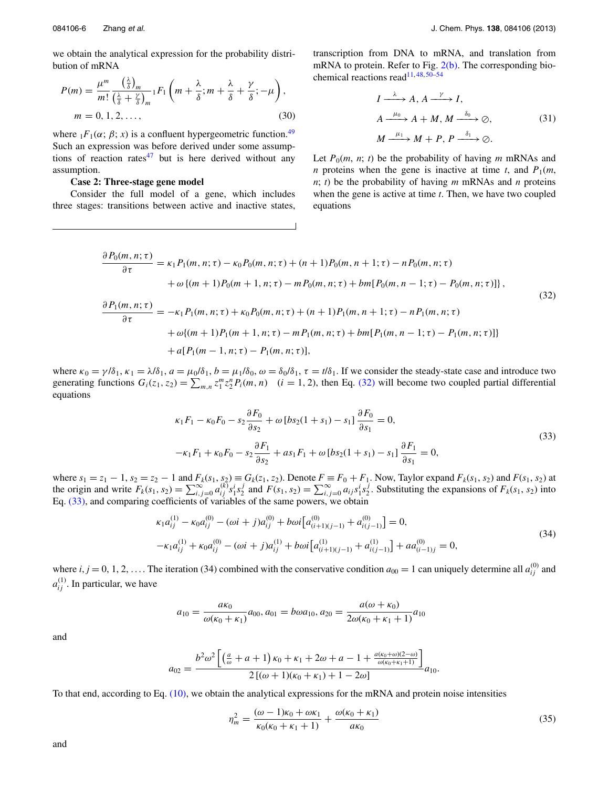we obtain the analytical expression for the probability distribution of mRNA

$$
P(m) = \frac{\mu^m}{m!} \frac{\left(\frac{\lambda}{\delta}\right)_m}{\left(\frac{\lambda}{\delta} + \frac{\gamma}{\delta}\right)_m} {}_1F_1\left(m + \frac{\lambda}{\delta}; m + \frac{\lambda}{\delta} + \frac{\gamma}{\delta}; -\mu\right),
$$
  
\n
$$
m = 0, 1, 2, \dots,
$$
\n(30)

where  $_1F_1(\alpha; \beta; x)$  is a confluent hypergeometric function.<sup>[49](#page-14-29)</sup> Such an expression was before derived under some assump-tions of reaction rates<sup>[47](#page-14-27)</sup> but is here derived without any assumption.

## **Case 2: Three-stage gene model**

Consider the full model of a gene, which includes three stages: transitions between active and inactive states, transcription from DNA to mRNA, and translation from mRNA to protein. Refer to Fig. [2\(b\).](#page-4-1) The corresponding bio-chemical reactions read<sup>11, [48,](#page-14-28) [50–](#page-15-0)[54](#page-15-1)</sup>

$$
I \xrightarrow{\lambda} A, A \xrightarrow{\gamma} I,
$$
  
\n
$$
A \xrightarrow{\mu_0} A + M, M \xrightarrow{\delta_0} \oslash,
$$
  
\n
$$
M \xrightarrow{\mu_1} M + P, P \xrightarrow{\delta_1} \oslash.
$$
\n(31)

Let  $P_0(m, n; t)$  be the probability of having *m* mRNAs and *n* proteins when the gene is inactive at time *t*, and  $P_1(m,$ *n*; *t*) be the probability of having *m* mRNAs and *n* proteins when the gene is active at time *t*. Then, we have two coupled equations

<span id="page-5-0"></span>
$$
\frac{\partial P_0(m, n; \tau)}{\partial \tau} = \kappa_1 P_1(m, n; \tau) - \kappa_0 P_0(m, n; \tau) + (n+1)P_0(m, n+1; \tau) - n P_0(m, n; \tau) \n+ \omega \{(m+1)P_0(m+1, n; \tau) - m P_0(m, n; \tau) + bm[P_0(m, n-1; \tau) - P_0(m, n; \tau)]\},
$$
\n(32)\n
$$
\frac{\partial P_1(m, n; \tau)}{\partial \tau} = -\kappa_1 P_1(m, n; \tau) + \kappa_0 P_0(m, n; \tau) + (n+1)P_1(m, n+1; \tau) - n P_1(m, n; \tau) \n+ \omega \{(m+1)P_1(m+1, n; \tau) - m P_1(m, n; \tau) + bm[P_1(m, n-1; \tau) - P_1(m, n; \tau)]\} \n+ a[P_1(m-1, n; \tau) - P_1(m, n; \tau)],
$$

<span id="page-5-1"></span>where  $\kappa_0 = \gamma/\delta_1$ ,  $\kappa_1 = \lambda/\delta_1$ ,  $a = \mu_0/\delta_1$ ,  $b = \mu_1/\delta_0$ ,  $\omega = \delta_0/\delta_1$ ,  $\tau = t/\delta_1$ . If we consider the steady-state case and introduce two generating functions  $G_i(z_1, z_2) = \sum_{m,n} z_1^m z_2^n P_i(m, n)$   $(i = 1, 2)$ , then Eq. [\(32\)](#page-5-0) will become two coupled partial differential equations

$$
\kappa_1 F_1 - \kappa_0 F_0 - s_2 \frac{\partial F_0}{\partial s_2} + \omega \left[ b s_2 (1 + s_1) - s_1 \right] \frac{\partial F_0}{\partial s_1} = 0,
$$
  

$$
-\kappa_1 F_1 + \kappa_0 F_0 - s_2 \frac{\partial F_1}{\partial s_2} + a s_1 F_1 + \omega \left[ b s_2 (1 + s_1) - s_1 \right] \frac{\partial F_1}{\partial s_1} = 0,
$$
  

$$
(33)
$$

where  $s_1 = z_1 - 1$ ,  $s_2 = z_2 - 1$  and  $F_k(s_1, s_2) \equiv G_k(z_1, z_2)$ . Denote  $F \equiv F_0 + F_1$ . Now, Taylor expand  $F_k(s_1, s_2)$  and  $F(s_1, s_2)$  at the origin and write  $F_k(s_1, s_2) = \sum_{i,j=0}^{\infty} a_{ij}^{(k)} s_1^i s_2^j$  and  $F(s_1, s_2) = \sum_{i,j=0}^{\infty} a_{ij} s_1^i s_2^j$ . Substituting the expansions of  $F_k(s_1, s_2)$  into Eq. [\(33\),](#page-5-1) and comparing coefficients of variables of the same powers, we obtain

$$
\kappa_1 a_{ij}^{(1)} - \kappa_0 a_{ij}^{(0)} - (\omega i + j) a_{ij}^{(0)} + b \omega i \left[ a_{(i+1)(j-1)}^{(0)} + a_{i(j-1)}^{(0)} \right] = 0,
$$
  
\n
$$
-\kappa_1 a_{ij}^{(1)} + \kappa_0 a_{ij}^{(0)} - (\omega i + j) a_{ij}^{(1)} + b \omega i \left[ a_{(i+1)(j-1)}^{(1)} + a_{i(j-1)}^{(1)} \right] + a a_{(i-1)j}^{(0)} = 0,
$$
\n(34)

where  $i, j = 0, 1, 2, \ldots$  The iteration (34) combined with the conservative condition  $a_{00} = 1$  can uniquely determine all  $a_{ij}^{(0)}$  and  $a_{ij}^{(1)}$ . In particular, we have

$$
a_{10} = \frac{a\kappa_0}{\omega(\kappa_0 + \kappa_1)} a_{00}, a_{01} = b\omega a_{10}, a_{20} = \frac{a(\omega + \kappa_0)}{2\omega(\kappa_0 + \kappa_1 + 1)} a_{10}
$$

and

$$
a_{02} = \frac{b^2 \omega^2 \left[ \left( \frac{a}{\omega} + a + 1 \right) \kappa_0 + \kappa_1 + 2\omega + a - 1 + \frac{a(\kappa_0 + \omega)(2 - \omega)}{\omega(\kappa_0 + \kappa_1 + 1)} \right]}{2\left[ (\omega + 1)(\kappa_0 + \kappa_1) + 1 - 2\omega \right]} a_{10}.
$$

<span id="page-5-2"></span>To that end, according to Eq. [\(10\),](#page-2-2) we obtain the analytical expressions for the mRNA and protein noise intensities

$$
\eta_m^2 = \frac{(\omega - 1)\kappa_0 + \omega \kappa_1}{\kappa_0(\kappa_0 + \kappa_1 + 1)} + \frac{\omega(\kappa_0 + \kappa_1)}{a\kappa_0}
$$
(35)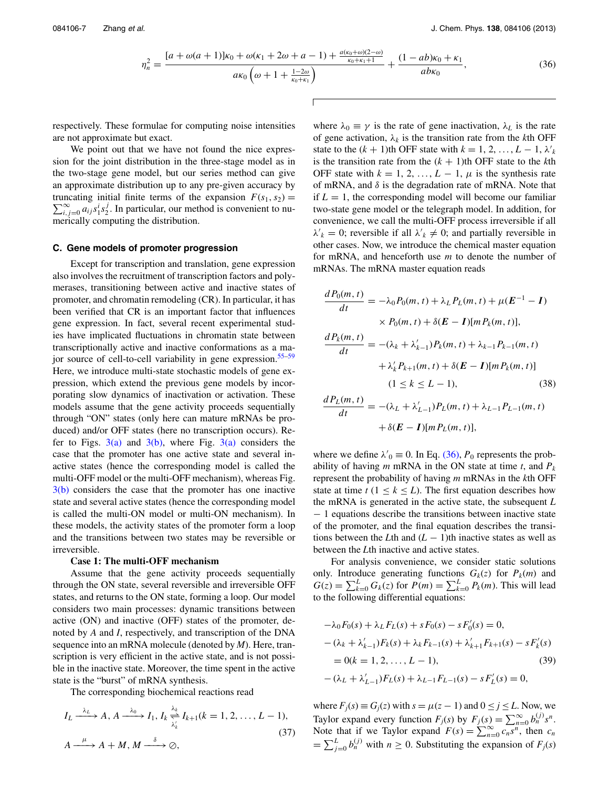$$
\eta_n^2 = \frac{[a + \omega(a+1)]\kappa_0 + \omega(\kappa_1 + 2\omega + a - 1) + \frac{a(\kappa_0 + \omega)(2-\omega)}{\kappa_0 + \kappa_1 + 1}}{a\kappa_0(\omega + 1 + \frac{1-2\omega}{\kappa_0 + \kappa_1})} + \frac{(1 - ab)\kappa_0 + \kappa_1}{ab\kappa_0},
$$
(36)

respectively. These formulae for computing noise intensities are not approximate but exact.

We point out that we have not found the nice expression for the joint distribution in the three-stage model as in the two-stage gene model, but our series method can give an approximate distribution up to any pre-given accuracy by truncating initial finite terms of the expansion  $F(s_1, s_2) = \sum_{n=1}^{\infty} a_n s_n^i$ . In particular, our mathod is convenient to my  $\sum_{i,j=0}^{\infty} a_{ij} s_1^i s_2^j$ . In particular, our method is convenient to numerically computing the distribution.

## <span id="page-6-0"></span>**C. Gene models of promoter progression**

Except for transcription and translation, gene expression also involves the recruitment of transcription factors and polymerases, transitioning between active and inactive states of promoter, and chromatin remodeling (CR). In particular, it has been verified that CR is an important factor that influences gene expression. In fact, several recent experimental studies have implicated fluctuations in chromatin state between transcriptionally active and inactive conformations as a ma-jor source of cell-to-cell variability in gene expression.<sup>55-[59](#page-15-3)</sup> Here, we introduce multi-state stochastic models of gene expression, which extend the previous gene models by incorporating slow dynamics of inactivation or activation. These models assume that the gene activity proceeds sequentially through "ON" states (only here can mature mRNAs be produced) and/or OFF states (here no transcription occurs). Refer to Figs.  $3(a)$  and  $3(b)$ , where Fig.  $3(a)$  considers the case that the promoter has one active state and several inactive states (hence the corresponding model is called the multi-OFF model or the multi-OFF mechanism), whereas Fig.  $3(b)$  considers the case that the promoter has one inactive state and several active states (hence the corresponding model is called the multi-ON model or multi-ON mechanism). In these models, the activity states of the promoter form a loop and the transitions between two states may be reversible or irreversible.

#### **Case 1: The multi-OFF mechanism**

Assume that the gene activity proceeds sequentially through the ON state, several reversible and irreversible OFF states, and returns to the ON state, forming a loop. Our model considers two main processes: dynamic transitions between active (ON) and inactive (OFF) states of the promoter, denoted by *A* and *I*, respectively, and transcription of the DNA sequence into an mRNA molecule (denoted by *M*). Here, transcription is very efficient in the active state, and is not possible in the inactive state. Moreover, the time spent in the active state is the "burst" of mRNA synthesis.

The corresponding biochemical reactions read

$$
I_L \xrightarrow{\lambda_L} A, A \xrightarrow{\lambda_0} I_1, I_k \underset{\lambda'_k}{\xleftarrow{\lambda_k}} I_{k+1}(k = 1, 2, \dots, L - 1),
$$
  
(37)  

$$
A \xrightarrow{\mu} A + M, M \xrightarrow{\delta} \oslash,
$$

where  $\lambda_0 \equiv \gamma$  is the rate of gene inactivation,  $\lambda_L$  is the rate of gene activation,  $\lambda_k$  is the transition rate from the *k*th OFF state to the  $(k + 1)$ th OFF state with  $k = 1, 2, ..., L - 1, \lambda'_{k}$ is the transition rate from the  $(k + 1)$ th OFF state to the *k*th OFF state with  $k = 1, 2, ..., L - 1$ ,  $\mu$  is the synthesis rate of mRNA, and  $\delta$  is the degradation rate of mRNA. Note that if  $L = 1$ , the corresponding model will become our familiar two-state gene model or the telegraph model. In addition, for convenience, we call the multi-OFF process irreversible if all  $\lambda'_{k} = 0$ ; reversible if all  $\lambda'_{k} \neq 0$ ; and partially reversible in other cases. Now, we introduce the chemical master equation for mRNA, and henceforth use *m* to denote the number of mRNAs. The mRNA master equation reads

$$
\frac{dP_0(m,t)}{dt} = -\lambda_0 P_0(m,t) + \lambda_L P_L(m,t) + \mu(E^{-1} - I)
$$
  
\n
$$
\times P_0(m,t) + \delta(E - I)[m P_k(m,t)],
$$
  
\n
$$
\frac{dP_k(m,t)}{dt} = -(\lambda_k + \lambda'_{k-1}) P_k(m,t) + \lambda_{k-1} P_{k-1}(m,t)
$$
  
\n
$$
+ \lambda'_k P_{k+1}(m,t) + \delta(E - I)[m P_k(m,t)]
$$
  
\n
$$
(1 \le k \le L - 1),
$$
 (38)  
\n
$$
\frac{dP_L(m,t)}{dt} = -(\lambda_k + \lambda'_{k-1}) P_k(m,t) + \lambda_k P_k(m,t)
$$

$$
\frac{a_1}{dt} = -(\lambda_L + \lambda'_{L-1})P_L(m, t) + \lambda_{L-1}P_{L-1}(m, t) + \delta(E - I)[mP_L(m, t)],
$$

where we define  $\lambda'_{0} \equiv 0$ . In Eq. [\(36\),](#page-5-2)  $P_{0}$  represents the probability of having *m* mRNA in the ON state at time *t*, and  $P_k$ represent the probability of having *m* mRNAs in the *k*th OFF state at time  $t$  ( $1 \leq k \leq L$ ). The first equation describes how the mRNA is generated in the active state, the subsequent *L* − 1 equations describe the transitions between inactive state of the promoter, and the final equation describes the transitions between the *L*th and  $(L - 1)$ th inactive states as well as between the *L*th inactive and active states.

For analysis convenience, we consider static solutions only. Introduce generating functions  $G_k(z)$  for  $P_k(m)$  and  $G(z) = \sum_{k=0}^{L} G_k(z)$  for  $P(m) = \sum_{k=0}^{L} P_k(m)$ . This will lead to the following differential equations:

<span id="page-6-1"></span>
$$
-\lambda_0 F_0(s) + \lambda_L F_L(s) + s F_0(s) - s F'_0(s) = 0,
$$
  
\n
$$
-(\lambda_k + \lambda'_{k-1}) F_k(s) + \lambda_k F_{k-1}(s) + \lambda'_{k+1} F_{k+1}(s) - s F'_k(s)
$$
  
\n
$$
= 0(k = 1, 2, ..., L - 1),
$$
  
\n
$$
-(\lambda_L + \lambda'_{L-1}) F_L(s) + \lambda_{L-1} F_{L-1}(s) - s F'_L(s) = 0,
$$
  
\n(39)

where  $F_j(s) \equiv G_j(z)$  with  $s = \mu(z - 1)$  and  $0 \le j \le L$ . Now, we Taylor expand every function  $F_j(s)$  by  $F_j(s) = \sum_{n=0}^{\infty} b_n^{(j)} s^n$ . Note that if we Taylor expand  $F(s) = \sum_{n=0}^{\infty} c_n s^n$ , then  $c_n$  $=\sum_{j=0}^{L} b_n^{(j)}$  with  $n \geq 0$ . Substituting the expansion of  $F_j(s)$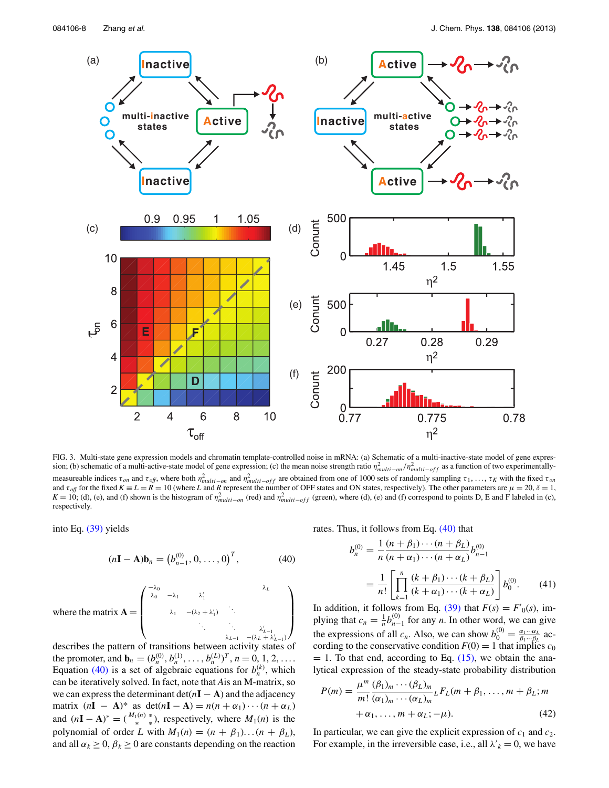<span id="page-7-0"></span>

FIG. 3. Multi-state gene expression models and chromatin template-controlled noise in mRNA: (a) Schematic of a multi-inactive-state model of gene expression; (b) schematic of a multi-active-state model of gene expression; (c) the mean noise strength ratio  $\eta_{multi-on}^2/\eta_{multi-off}^2$  as a function of two experimentallymeasureable indices  $\tau_{on}$  and  $\tau_{off}$ , where both  $\eta_{multi-on}^2$  and  $\eta_{multi-off}^2$  are obtained from one of 1000 sets of randomly sampling  $\tau_1, \ldots, \tau_K$  with the fixed  $\tau_{on}$ and  $\tau_{off}$  for the fixed  $K \equiv L = R = 10$  (where *L* and *R* represent the number of OFF states and ON states, respectively). The other parameters are  $\mu = 20$ ,  $\delta = 1$ ,  $K = 10$ ; (d), (e), and (f) shown is the histogram of  $\eta_{multi-on}^2$  (red) and  $\eta_{multi-off}^2$  (green), where (d), (e) and (f) correspond to points D, E and F labeled in (c), respectively.

into Eq. [\(39\)](#page-6-1) yields

<span id="page-7-1"></span>
$$
(n\mathbf{I} - \mathbf{A})\mathbf{b}_n = (b_{n-1}^{(0)}, 0, \dots, 0)^T, \tag{40}
$$

where the matrix  $A =$ 

$$
\begin{pmatrix}\n-\lambda_0 & & & & & & \lambda_L \\
\lambda_0 & -\lambda_1 & & \lambda'_1 & & & \\
& \lambda_1 & -(\lambda_2 + \lambda'_1) & \ddots & & & \\
& & \ddots & \ddots & \ddots & \lambda'_{L-1} \\
& & & & \lambda_{L-1} & -(\lambda_L + \lambda'_{L-1})\n\end{pmatrix}
$$

describes the pattern of transitions between activity states of the promoter, and  $\mathbf{b}_n = (b_n^{(0)}, b_n^{(1)}, \dots, b_n^{(L)})^T$ ,  $n = 0, 1, 2, \dots$ . Equation [\(40\)](#page-7-1) is a set of algebraic equations for  $b_n^{(k)}$ , which can be iteratively solved. In fact, note that *A*is an M-matrix, so we can express the determinant  $det(n\mathbf{I} - \mathbf{A})$  and the adjacency matrix  $(n\mathbf{I} - \mathbf{A})^*$  as  $\det(n\mathbf{I} - \mathbf{A}) = n(n + \alpha_1) \cdots (n + \alpha_L)$ and  $(n\mathbf{I} - \mathbf{A})^* = \left(\begin{array}{cc} M_1(n) & * \\ * & * \end{array}\right)$ , respectively, where  $M_1(n)$  is the polynomial of order *L* with  $M_1(n) = (n + \beta_1)...(n + \beta_L)$ , and all  $\alpha_k \geq 0$ ,  $\beta_k \geq 0$  are constants depending on the reaction rates. Thus, it follows from Eq. [\(40\)](#page-7-1) that

$$
b_n^{(0)} = \frac{1}{n} \frac{(n + \beta_1) \cdots (n + \beta_L)}{(n + \alpha_1) \cdots (n + \alpha_L)} b_{n-1}^{(0)}
$$
  
= 
$$
\frac{1}{n!} \left[ \prod_{k=1}^n \frac{(k + \beta_1) \cdots (k + \beta_L)}{(k + \alpha_1) \cdots (k + \alpha_L)} \right] b_0^{(0)}.
$$
 (41)

In addition, it follows from Eq. [\(39\)](#page-6-1) that  $F(s) = F'_0(s)$ , implying that  $c_n = \frac{1}{n} b_{n-1}^{(0)}$  for any *n*. In other word, we can give the expressions of all *c<sub>n</sub>*. Also, we can show  $b_0^{(0)} = \frac{\alpha_1 \cdots \alpha_L}{\beta_1 \cdots \beta_L}$  according to the conservative condition  $F(0) = 1$  that implies  $c_0$  $= 1$ . To that end, according to Eq. [\(15\),](#page-2-4) we obtain the analytical expression of the steady-state probability distribution

$$
P(m) = \frac{\mu^m}{m!} \frac{(\beta_1)_m \cdots (\beta_L)_m}{(\alpha_1)_m \cdots (\alpha_L)_m} L F_L(m + \beta_1, \ldots, m + \beta_L; m + \alpha_1, \ldots, m + \alpha_L; -\mu).
$$
 (42)

In particular, we can give the explicit expression of  $c_1$  and  $c_2$ . For example, in the irreversible case, i.e., all  $\lambda'_{k} = 0$ , we have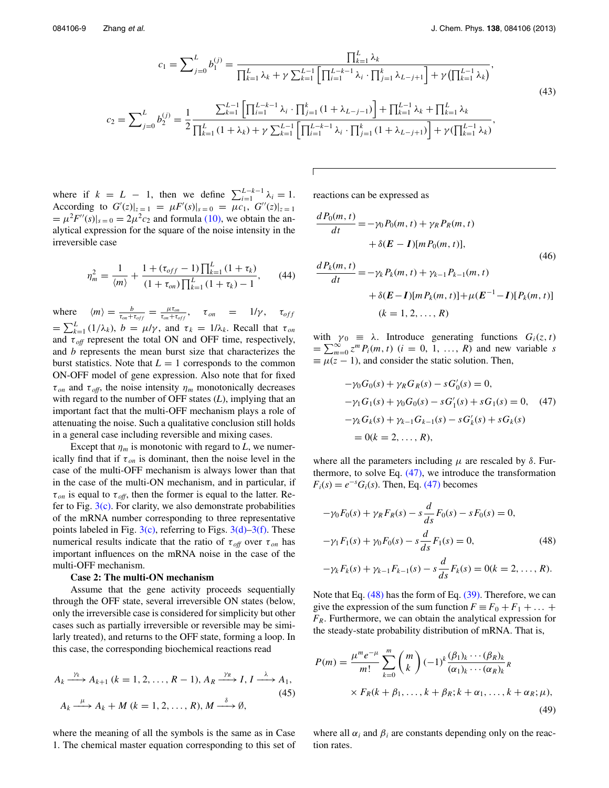$c<sub>2</sub>$ 

$$
c_{1} = \sum_{j=0}^{L} b_{1}^{(j)} = \frac{\prod_{k=1}^{L} \lambda_{k}}{\prod_{k=1}^{L} \lambda_{k} + \gamma \sum_{k=1}^{L-1} \left[ \prod_{i=1}^{L-k-1} \lambda_{i} \cdot \prod_{j=1}^{k} \lambda_{L-j+1} \right] + \gamma \left( \prod_{k=1}^{L-1} \lambda_{k} \right)},
$$
\n
$$
= \sum_{j=0}^{L} b_{2}^{(j)} = \frac{1}{2} \frac{\sum_{k=1}^{L-1} \left[ \prod_{i=1}^{L-k-1} \lambda_{i} \cdot \prod_{j=1}^{k} (1 + \lambda_{L-j-1}) \right] + \prod_{k=1}^{L-1} \lambda_{k} + \prod_{k=1}^{L} \lambda_{k}}{\prod_{k=1}^{L} (1 + \lambda_{k}) + \gamma \sum_{k=1}^{L-1} \left[ \prod_{i=1}^{L-k-1} \lambda_{i} \cdot \prod_{j=1}^{k} (1 + \lambda_{L-j+1}) \right] + \gamma \left( \prod_{k=1}^{L-1} \lambda_{k} \right)},
$$
\n
$$
(43)
$$

 $\lceil$ 

where if  $k = L - 1$ , then we define  $\sum_{i=1}^{L-k-1} \lambda_i = 1$ . According to  $G'(z)|_{z=1} = \mu F'(s)|_{s=0} = \mu c_1$ ,  $G''(z)|_{z=1}$  $= \mu^2 F''(s)|_{s=0} = 2\mu^2 c_2$  and formula [\(10\),](#page-2-2) we obtain the analytical expression for the square of the noise intensity in the irreversible case

$$
\eta_m^2 = \frac{1}{\langle m \rangle} + \frac{1 + (\tau_{off} - 1) \prod_{k=1}^L (1 + \tau_k)}{(1 + \tau_{on}) \prod_{k=1}^L (1 + \tau_k) - 1},\qquad(44)
$$

where  $\langle m \rangle = \frac{b}{\tau_{on} + \tau_{off}} = \frac{\mu \tau_{on}}{\tau_{on} + \tau_{off}}$ ,  $\tau_{on} = 1/\gamma$ ,  $\tau_{off}$  $= \sum_{k=1}^{L} (1/\lambda_k)$ ,  $b = \mu/\gamma$ , and  $\tau_k = 1/\lambda_k$ . Recall that  $\tau_{on}$ and  $\tau_{\text{off}}$  represent the total ON and OFF time, respectively, and *b* represents the mean burst size that characterizes the burst statistics. Note that  $L = 1$  corresponds to the common ON-OFF model of gene expression. Also note that for fixed  $\tau_{on}$  and  $\tau_{off}$ , the noise intensity  $\eta_m$  monotonically decreases with regard to the number of OFF states (*L*), implying that an important fact that the multi-OFF mechanism plays a role of attenuating the noise. Such a qualitative conclusion still holds in a general case including reversible and mixing cases.

Except that  $\eta_m$  is monotonic with regard to *L*, we numerically find that if  $\tau_{on}$  is dominant, then the noise level in the case of the multi-OFF mechanism is always lower than that in the case of the multi-ON mechanism, and in particular, if  $\tau_{on}$  is equal to  $\tau_{off}$ , then the former is equal to the latter. Refer to Fig.  $3(c)$ . For clarity, we also demonstrate probabilities of the mRNA number corresponding to three representative points labeled in Fig.  $3(c)$ , referring to Figs.  $3(d)$ – $3(f)$ . These numerical results indicate that the ratio of  $\tau_{off}$  over  $\tau_{on}$  has important influences on the mRNA noise in the case of the multi-OFF mechanism.

#### **Case 2: The multi-ON mechanism**

Assume that the gene activity proceeds sequentially through the OFF state, several irreversible ON states (below, only the irreversible case is considered for simplicity but other cases such as partially irreversible or reversible may be similarly treated), and returns to the OFF state, forming a loop. In this case, the corresponding biochemical reactions read

$$
A_k \xrightarrow{\gamma_k} A_{k+1} \ (k = 1, 2, \dots, R-1), A_R \xrightarrow{\gamma_R} I, I \xrightarrow{\lambda} A_1,
$$
  

$$
A_k \xrightarrow{\mu} A_k + M \ (k = 1, 2, \dots, R), M \xrightarrow{\delta} \emptyset,
$$
  
(45)

where the meaning of all the symbols is the same as in Case 1. The chemical master equation corresponding to this set of reactions can be expressed as

$$
\frac{dP_0(m,t)}{dt} = -\gamma_0 P_0(m,t) + \gamma_R P_R(m,t) \n+ \delta(E-I)[m P_0(m,t)],
$$
\n(46)  
\n
$$
\frac{dP_k(m,t)}{dt} = -\gamma_k P_k(m,t) + \gamma_{k-1} P_{k-1}(m,t) \n+ \delta(E-I)[m P_k(m,t)] + \mu(E^{-1}-I)[P_k(m,t)] \n(k = 1, 2, ..., R)
$$

with  $\gamma_0 \equiv \lambda$ . Introduce generating functions  $G_i(z, t)$  $=\sum_{m=0}^{\infty} z^m P_i(m, t)$  (*i* = 0, 1, ..., *R*) and new variable *s*  $\equiv \mu(z - 1)$ , and consider the static solution. Then,

<span id="page-8-0"></span>
$$
-\gamma_0 G_0(s) + \gamma_R G_R(s) - sG'_0(s) = 0,
$$
  
\n
$$
-\gamma_1 G_1(s) + \gamma_0 G_0(s) - sG'_1(s) + sG_1(s) = 0, \quad (47)
$$
  
\n
$$
-\gamma_k G_k(s) + \gamma_{k-1} G_{k-1}(s) - sG'_k(s) + sG_k(s)
$$
  
\n
$$
= 0(k = 2, ..., R),
$$

where all the parameters including  $\mu$  are rescaled by  $\delta$ . Furthermore, to solve Eq. [\(47\),](#page-8-0) we introduce the transformation  $F_i(s) = e^{-s} G_i(s)$ . Then, Eq. [\(47\)](#page-8-0) becomes

<span id="page-8-1"></span>
$$
-\gamma_0 F_0(s) + \gamma_R F_R(s) - s \frac{d}{ds} F_0(s) - s F_0(s) = 0,
$$
  

$$
-\gamma_1 F_1(s) + \gamma_0 F_0(s) - s \frac{d}{ds} F_1(s) = 0,
$$
 (48)

$$
-\gamma_k F_k(s) + \gamma_{k-1} F_{k-1}(s) - s \frac{d}{ds} F_k(s) = 0 (k = 2, ..., R).
$$

Note that Eq. [\(48\)](#page-8-1) has the form of Eq. [\(39\).](#page-6-1) Therefore, we can give the expression of the sum function  $F \equiv F_0 + F_1 + \dots$ *FR*. Furthermore, we can obtain the analytical expression for the steady-state probability distribution of mRNA. That is,

$$
P(m) = \frac{\mu^m e^{-\mu}}{m!} \sum_{k=0}^m {m \choose k} (-1)^k \frac{(\beta_1)_k \cdots (\beta_R)_k}{(\alpha_1)_k \cdots (\alpha_R)_k}^R
$$
  
×  $F_R(k + \beta_1, \ldots, k + \beta_R; k + \alpha_1, \ldots, k + \alpha_R; \mu),$  (49)

where all  $\alpha_i$  and  $\beta_i$  are constants depending only on the reaction rates.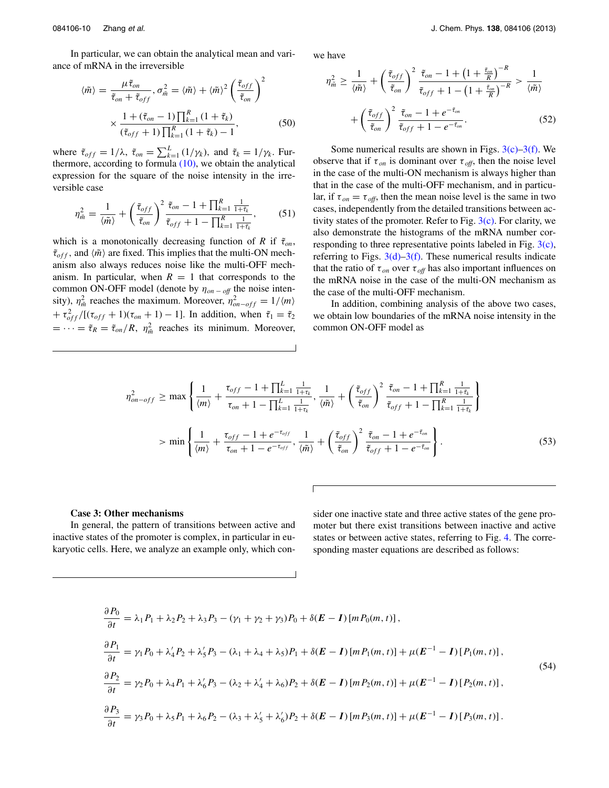In particular, we can obtain the analytical mean and variance of mRNA in the irreversible

$$
\langle \tilde{m} \rangle = \frac{\mu \tilde{\tau}_{on}}{\tilde{\tau}_{on} + \tilde{\tau}_{off}}, \sigma_{\tilde{m}}^{2} = \langle \tilde{m} \rangle + \langle \tilde{m} \rangle^{2} \left( \frac{\tilde{\tau}_{off}}{\tilde{\tau}_{on}} \right)^{2}
$$

$$
\times \frac{1 + (\tilde{\tau}_{on} - 1) \prod_{k=1}^{R} (1 + \tilde{\tau}_{k})}{(\tilde{\tau}_{off} + 1) \prod_{k=1}^{R} (1 + \tilde{\tau}_{k}) - 1}, \tag{50}
$$

where  $\tilde{\tau}_{off} = 1/\lambda$ ,  $\tilde{\tau}_{on} = \sum_{k=1}^{L} (1/\gamma_k)$ , and  $\tilde{\tau}_k = 1/\gamma_k$ . Furthermore, according to formula  $(10)$ , we obtain the analytical expression for the square of the noise intensity in the irreversible case

$$
\eta_{\tilde{m}}^2 = \frac{1}{\langle \tilde{m} \rangle} + \left(\frac{\tilde{\tau}_{off}}{\tilde{\tau}_{on}}\right)^2 \frac{\tilde{\tau}_{on} - 1 + \prod_{k=1}^R \frac{1}{1 + \tilde{\tau}_k}}{\tilde{\tau}_{off} + 1 - \prod_{k=1}^R \frac{1}{1 + \tilde{\tau}_k}},\tag{51}
$$

which is a monotonically decreasing function of *R* if  $\tilde{\tau}_{on}$ ,  $\tilde{\tau}_{off}$ , and  $\langle \tilde{m} \rangle$  are fixed. This implies that the multi-ON mechanism also always reduces noise like the multi-OFF mechanism. In particular, when  $R = 1$  that corresponds to the common ON-OFF model (denote by  $\eta_{on - off}$  the noise intensity),  $\eta_{\tilde{m}}^2$  reaches the maximum. Moreover,  $\eta_{on-off}^2 = 1/\langle m \rangle$  $+\tau_{off}^2/[(\tau_{off}+1)(\tau_{on}+1)-1]$ . In addition, when  $\tilde{\tau}_1 = \tilde{\tau}_2$  $= \cdots = \tilde{\tau}_R = \tilde{\tau}_{on}/R$ ,  $\eta_{\tilde{m}}^2$  reaches its minimum. Moreover, we have

$$
\eta_{\tilde{m}}^2 \ge \frac{1}{\langle \tilde{m} \rangle} + \left(\frac{\tilde{\tau}_{off}}{\tilde{\tau}_{on}}\right)^2 \frac{\tilde{\tau}_{on} - 1 + \left(1 + \frac{\tilde{\tau}_{on}}{R}\right)^{-R}}{\tilde{\tau}_{off} + 1 - \left(1 + \frac{\tilde{\tau}_{on}}{R}\right)^{-R}} > \frac{1}{\langle \tilde{m} \rangle}
$$

$$
+ \left(\frac{\tilde{\tau}_{off}}{\tilde{\tau}_{on}}\right)^2 \frac{\tilde{\tau}_{on} - 1 + e^{-\tilde{\tau}_{on}}}{\tilde{\tau}_{off} + 1 - e^{-\tilde{\tau}_{on}}}.
$$
(52)

Some numerical results are shown in Figs.  $3(c)$ – $3(f)$ . We observe that if  $\tau_{on}$  is dominant over  $\tau_{off}$ , then the noise level in the case of the multi-ON mechanism is always higher than that in the case of the multi-OFF mechanism, and in particular, if  $\tau_{on} = \tau_{off}$ , then the mean noise level is the same in two cases, independently from the detailed transitions between activity states of the promoter. Refer to Fig.  $3(c)$ . For clarity, we also demonstrate the histograms of the mRNA number corresponding to three representative points labeled in Fig. [3\(c\),](#page-7-0) referring to Figs.  $3(d)-3(f)$ . These numerical results indicate that the ratio of  $\tau_{on}$  over  $\tau_{off}$  has also important influences on the mRNA noise in the case of the multi-ON mechanism as the case of the multi-OFF mechanism.

In addition, combining analysis of the above two cases, we obtain low boundaries of the mRNA noise intensity in the common ON-OFF model as

$$
\eta_{on-off}^2 \ge \max\left\{\frac{1}{\langle m \rangle} + \frac{\tau_{off} - 1 + \prod_{k=1}^L \frac{1}{1 + \tau_k}}{\tau_{on} + 1 - \prod_{k=1}^L \frac{1}{1 + \tau_k}}, \frac{1}{\langle \tilde{m} \rangle} + \left(\frac{\tilde{\tau}_{off}}{\tilde{\tau}_{on}}\right)^2 \frac{\tilde{\tau}_{on} - 1 + \prod_{k=1}^R \frac{1}{1 + \tilde{\tau}_k}}{\tilde{\tau}_{off} + 1 - \prod_{k=1}^R \frac{1}{1 + \tilde{\tau}_k}}\right\}
$$
\n
$$
> \min\left\{\frac{1}{\langle m \rangle} + \frac{\tau_{off} - 1 + e^{-\tau_{off}}}{\tau_{on} + 1 - e^{-\tau_{off}}}, \frac{1}{\langle \tilde{m} \rangle} + \left(\frac{\tilde{\tau}_{off}}{\tilde{\tau}_{on}}\right)^2 \frac{\tilde{\tau}_{on} - 1 + e^{-\tilde{\tau}_{on}}}{\tilde{\tau}_{off} + 1 - e^{-\tilde{\tau}_{on}}}\right\}.
$$
\n(53)

Г

#### **Case 3: Other mechanisms**

In general, the pattern of transitions between active and inactive states of the promoter is complex, in particular in eukaryotic cells. Here, we analyze an example only, which consider one inactive state and three active states of the gene promoter but there exist transitions between inactive and active states or between active states, referring to Fig. [4.](#page-10-0) The corresponding master equations are described as follows:

<span id="page-9-0"></span>
$$
\frac{\partial P_0}{\partial t} = \lambda_1 P_1 + \lambda_2 P_2 + \lambda_3 P_3 - (\gamma_1 + \gamma_2 + \gamma_3) P_0 + \delta(E - I) [m P_0(m, t)],
$$
  
\n
$$
\frac{\partial P_1}{\partial t} = \gamma_1 P_0 + \lambda_4' P_2 + \lambda_5' P_3 - (\lambda_1 + \lambda_4 + \lambda_5) P_1 + \delta(E - I) [m P_1(m, t)] + \mu(E^{-1} - I) [P_1(m, t)],
$$
  
\n
$$
\frac{\partial P_2}{\partial t} = \gamma_2 P_0 + \lambda_4 P_1 + \lambda_6' P_3 - (\lambda_2 + \lambda_4' + \lambda_6) P_2 + \delta(E - I) [m P_2(m, t)] + \mu(E^{-1} - I) [P_2(m, t)],
$$
  
\n
$$
\frac{\partial P_3}{\partial t} = \gamma_3 P_0 + \lambda_5 P_1 + \lambda_6 P_2 - (\lambda_3 + \lambda_5' + \lambda_6') P_2 + \delta(E - I) [m P_3(m, t)] + \mu(E^{-1} - I) [P_3(m, t)].
$$
\n(54)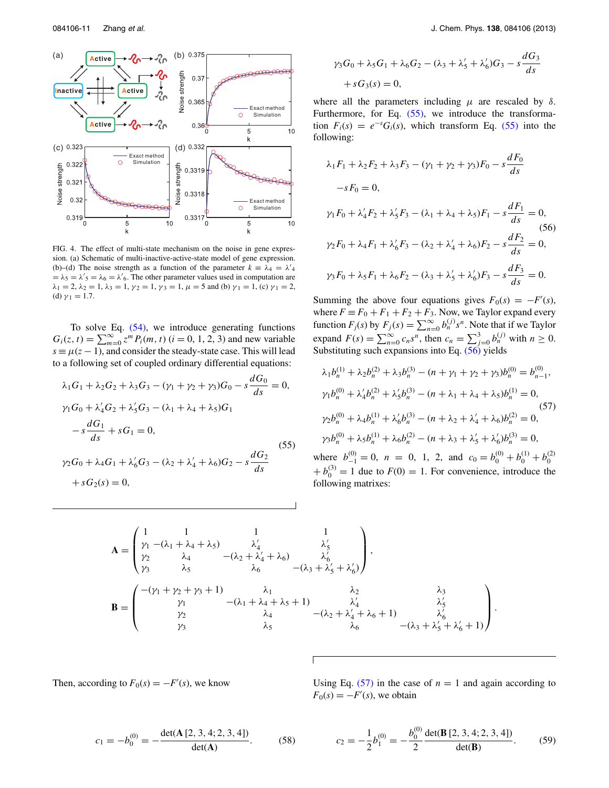<span id="page-10-0"></span>

FIG. 4. The effect of multi-state mechanism on the noise in gene expression. (a) Schematic of multi-inactive-active-state model of gene expression. (b)–(d) The noise strength as a function of the parameter  $k \equiv \lambda_4 = \lambda'_4$  $= \lambda_5 = \lambda'_5 = \lambda'_6 = \lambda'_6$ . The other parameter values used in computation are  $\lambda_1 = 2, \lambda_2 = 1, \lambda_3 = 1, \gamma_2 = 1, \gamma_3 = 1, \mu = 5$  and (b)  $\gamma_1 = 1$ , (c)  $\gamma_1 = 2$ , (d)  $\gamma_1 = 1.7$ .

To solve Eq.  $(54)$ , we introduce generating functions  $G_i(z, t) = \sum_{m=0}^{\infty} z^m P_i(m, t)$  (*i* = 0, 1, 2, 3) and new variable  $s = \mu(z - 1)$ , and consider the steady-state case. This will lead to a following set of coupled ordinary differential equations:

$$
\lambda_1 G_1 + \lambda_2 G_2 + \lambda_3 G_3 - (\gamma_1 + \gamma_2 + \gamma_3) G_0 - s \frac{dG_0}{ds} = 0,
$$
  
\n
$$
\gamma_1 G_0 + \lambda'_4 G_2 + \lambda'_5 G_3 - (\lambda_1 + \lambda_4 + \lambda_5) G_1
$$
  
\n
$$
-s \frac{dG_1}{ds} + s G_1 = 0,
$$
  
\n
$$
\gamma_2 G_0 + \lambda_4 G_1 + \lambda'_6 G_3 - (\lambda_2 + \lambda'_4 + \lambda_6) G_2 - s \frac{dG_2}{ds}
$$
  
\n
$$
+ s G_2(s) = 0,
$$
  
\n(55)

<span id="page-10-1"></span>
$$
\gamma_3 G_0 + \lambda_5 G_1 + \lambda_6 G_2 - (\lambda_3 + \lambda'_5 + \lambda'_6) G_3 - s \frac{dG_3}{ds}
$$
  
+ 
$$
s G_3(s) = 0,
$$

where all the parameters including  $\mu$  are rescaled by  $\delta$ . Furthermore, for Eq. [\(55\),](#page-10-1) we introduce the transformation  $F_i(s) = e^{-s} G_i(s)$ , which transform Eq. [\(55\)](#page-10-1) into the following:

$$
\lambda_1 F_1 + \lambda_2 F_2 + \lambda_3 F_3 - (\gamma_1 + \gamma_2 + \gamma_3) F_0 - s \frac{dF_0}{ds}
$$
  
\n
$$
-sF_0 = 0,
$$
  
\n
$$
\gamma_1 F_0 + \lambda'_4 F_2 + \lambda'_5 F_3 - (\lambda_1 + \lambda_4 + \lambda_5) F_1 - s \frac{dF_1}{ds} = 0,
$$
  
\n
$$
\gamma_2 F_0 + \lambda_4 F_1 + \lambda'_6 F_3 - (\lambda_2 + \lambda'_4 + \lambda_6) F_2 - s \frac{dF_2}{ds} = 0,
$$
  
\n
$$
\gamma_3 F_0 + \lambda_5 F_1 + \lambda_6 F_2 - (\lambda_3 + \lambda'_5 + \lambda'_6) F_3 - s \frac{dF_3}{ds} = 0.
$$

Summing the above four equations gives  $F_0(s) = -F'(s)$ , where  $F \equiv F_0 + F_1 + F_2 + F_3$ . Now, we Taylor expand every function  $F_j(s)$  by  $F_j(s) = \sum_{n=0}^{\infty} b_n^{(j)} s^n$ . Note that if we Taylor expand  $F(s) = \sum_{n=0}^{\infty} c_n s^n$ , then  $c_n = \sum_{j=0}^{3} b_n^{(j)}$  with  $n \ge 0$ . Substituting such expansions into Eq. [\(56\)](#page-10-1) yields

<span id="page-10-2"></span>
$$
\lambda_1 b_n^{(1)} + \lambda_2 b_n^{(2)} + \lambda_3 b_n^{(3)} - (n + \gamma_1 + \gamma_2 + \gamma_3) b_n^{(0)} = b_{n-1}^{(0)},
$$
  
\n
$$
\gamma_1 b_n^{(0)} + \lambda_4' b_n^{(2)} + \lambda_5' b_n^{(3)} - (n + \lambda_1 + \lambda_4 + \lambda_5) b_n^{(1)} = 0,
$$
  
\n
$$
\gamma_2 b_n^{(0)} + \lambda_4 b_n^{(1)} + \lambda_6' b_n^{(3)} - (n + \lambda_2 + \lambda_4' + \lambda_6) b_n^{(2)} = 0,
$$
  
\n
$$
\gamma_3 b_n^{(0)} + \lambda_5 b_n^{(1)} + \lambda_6 b_n^{(2)} - (n + \lambda_3 + \lambda_5' + \lambda_6') b_n^{(3)} = 0,
$$

where  $b_{-1}^{(0)} = 0$ ,  $n = 0$ , 1, 2, and  $c_0 = b_0^{(0)} + b_0^{(1)} + b_0^{(2)}$  $+ b_0^{(3)} = 1$  due to  $F(0) = 1$ . For convenience, introduce the following matrixes:

$$
\mathbf{A} = \begin{pmatrix} 1 & 1 & 1 & 1 \\ \gamma_1 - (\lambda_1 + \lambda_4 + \lambda_5) & \lambda_4' & \lambda_5' \\ \gamma_2 & \lambda_4 & -(\lambda_2 + \lambda_4' + \lambda_6) & \lambda_6' \\ \gamma_3 & \lambda_5 & \lambda_6 & -(\lambda_3 + \lambda_5' + \lambda_6') \end{pmatrix},
$$

$$
\mathbf{B} = \begin{pmatrix} -(\gamma_1 + \gamma_2 + \gamma_3 + 1) & \lambda_1 & \lambda_2 & \lambda_3 \\ \gamma_1 & -(\lambda_1 + \lambda_4 + \lambda_5 + 1) & \lambda_4' & \lambda_5' \\ \gamma_2 & \lambda_4 & -(\lambda_2 + \lambda_4' + \lambda_6 + 1) & \lambda_6' \\ \gamma_3 & \lambda_5 & \lambda_6 & -(\lambda_3 + \lambda_5' + \lambda_6' + 1) \end{pmatrix}.
$$

Then, according to  $F_0(s) = -F'(s)$ , we know

<span id="page-10-4"></span><span id="page-10-3"></span>Using Eq.  $(57)$  in the case of  $n = 1$  and again according to  $F_0(s) = -F'(s)$ , we obtain

$$
c_1 = -b_0^{(0)} = -\frac{\det(\mathbf{A}[2, 3, 4; 2, 3, 4])}{\det(\mathbf{A})}.
$$
 (58)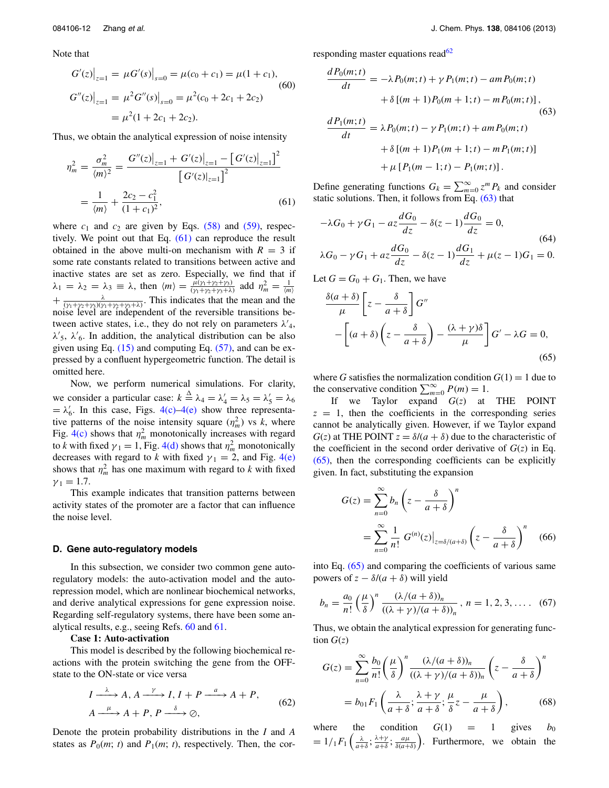Note that

<span id="page-11-4"></span>
$$
G'(z)|_{z=1} = \mu G'(s)|_{s=0} = \mu(c_0 + c_1) = \mu(1 + c_1),
$$
  
\n
$$
G''(z)|_{z=1} = \mu^2 G''(s)|_{s=0} = \mu^2 (c_0 + 2c_1 + 2c_2)
$$
  
\n
$$
= \mu^2 (1 + 2c_1 + 2c_2).
$$
\n(60)

Thus, we obtain the analytical expression of noise intensity

$$
\eta_m^2 = \frac{\sigma_m^2}{\langle m \rangle^2} = \frac{G''(z)|_{z=1} + G'(z)|_{z=1} - [G'(z)|_{z=1}]^2}{[G'(z)|_{z=1}]^2}
$$

$$
= \frac{1}{\langle m \rangle} + \frac{2c_2 - c_1^2}{(1 + c_1)^2},\tag{61}
$$

where  $c_1$  and  $c_2$  are given by Eqs. [\(58\)](#page-10-3) and [\(59\),](#page-10-4) respectively. We point out that Eq. [\(61\)](#page-11-0) can reproduce the result obtained in the above multi-on mechanism with  $R = 3$  if some rate constants related to transitions between active and inactive states are set as zero. Especially, we find that if  $\lambda_1 = \lambda_2 = \lambda_3 \equiv \lambda$ , then  $\langle m \rangle = \frac{\hat{\mu}(\gamma_1 + \gamma_2 + \gamma_3)}{(\gamma_1 + \gamma_2 + \gamma_3 + \lambda)}$  add  $\eta_m^2 = \frac{1}{\langle m \rangle}$  $+\frac{\lambda}{(\gamma_1+\gamma_2+\gamma_3)(\gamma_1+\gamma_2+\gamma_3+\lambda)}$ . This indicates that the mean and the noise level are independent of the reversible transitions between active states, i.e., they do not rely on parameters  $\lambda'_{4}$ ,  $\lambda'$ <sub>5</sub>,  $\lambda'$ <sub>6</sub>. In addition, the analytical distribution can be also given using Eq.  $(15)$  and computing Eq.  $(57)$ , and can be expressed by a confluent hypergeometric function. The detail is omitted here.

Now, we perform numerical simulations. For clarity, we consider a particular case:  $k \stackrel{\Delta}{=} \lambda_4 = \lambda'_4 = \lambda_5 = \lambda'_5 = \lambda_6$  $= \lambda'_6$ . In this case, Figs. [4\(c\)–4\(e\)](#page-10-0) show three representative patterns of the noise intensity square  $(\eta_m^2)$  vs *k*, where Fig.  $4(c)$  shows that  $\eta_m^2$  monotonically increases with regard to *k* with fixed  $\gamma_1 = 1$ , Fig. [4\(d\)](#page-10-0) shows that  $\eta_m^2$  monotonically decreases with regard to *k* with fixed  $\gamma_1 = 2$ , and Fig. [4\(e\)](#page-10-0) shows that  $\eta_m^2$  has one maximum with regard to *k* with fixed  $\gamma_1 = 1.7$ .

This example indicates that transition patterns between activity states of the promoter are a factor that can influence the noise level.

#### **D. Gene auto-regulatory models**

In this subsection, we consider two common gene autoregulatory models: the auto-activation model and the autorepression model, which are nonlinear biochemical networks, and derive analytical expressions for gene expression noise. Regarding self-regulatory systems, there have been some analytical results, e.g., seeing Refs. [60](#page-15-4) and [61.](#page-15-5)

# **Case 1: Auto-activation**

This model is described by the following biochemical reactions with the protein switching the gene from the OFFstate to the ON-state or vice versa

<span id="page-11-3"></span>
$$
I \xrightarrow{\lambda} A, A \xrightarrow{\gamma} I, I + P \xrightarrow{a} A + P,
$$
  
\n
$$
A \xrightarrow{\mu} A + P, P \xrightarrow{\delta} \oslash,
$$
  
\n(62)

Denote the protein probability distributions in the *I* and *A* states as  $P_0(m; t)$  and  $P_1(m; t)$ , respectively. Then, the corresponding master equations read $62$ 

<span id="page-11-1"></span>
$$
\frac{dP_0(m;t)}{dt} = -\lambda P_0(m;t) + \gamma P_1(m;t) - amP_0(m;t) \n+ \delta [(m+1)P_0(m+1;t) - mP_0(m;t)],
$$
\n(63)  
\n
$$
\frac{dP_1(m;t)}{dt} = \lambda P_0(m;t) - \gamma P_1(m;t) + amP_0(m;t) \n+ \delta [(m+1)P_1(m+1;t) - mP_1(m;t)] \n+ \mu [P_1(m-1;t) - P_1(m;t)].
$$

<span id="page-11-0"></span>Define generating functions  $G_k = \sum_{m=0}^{\infty} z^m P_k$  and consider static solutions. Then, it follows from Eq. [\(63\)](#page-11-1) that

$$
-\lambda G_0 + \gamma G_1 - az\frac{dG_0}{dz} - \delta(z - 1)\frac{dG_0}{dz} = 0,
$$
\n
$$
\lambda G_0 - \gamma G_1 + az\frac{dG_0}{dz} - \delta(z - 1)\frac{dG_1}{dz} + \mu(z - 1)G_1 = 0.
$$
\n(64)

Let  $G = G_0 + G_1$ . Then, we have

<span id="page-11-2"></span>
$$
\frac{\delta(a+\delta)}{\mu} \left[ z - \frac{\delta}{a+\delta} \right] G''
$$

$$
- \left[ (a+\delta) \left( z - \frac{\delta}{a+\delta} \right) - \frac{(\lambda+\gamma)\delta}{\mu} \right] G' - \lambda G = 0,
$$

$$
(65)
$$

where *G* satisfies the normalization condition  $G(1) = 1$  due to the conservative condition  $\sum_{m=0}^{\infty} P(m) = 1$ .

If we Taylor expand *G*(*z*) at THE POINT  $z = 1$ , then the coefficients in the corresponding series cannot be analytically given. However, if we Taylor expand *G*(*z*) at THE POINT  $z = \delta/(a + \delta)$  due to the characteristic of the coefficient in the second order derivative of  $G(z)$  in Eq. [\(65\),](#page-11-2) then the corresponding coefficients can be explicitly given. In fact, substituting the expansion

$$
G(z) = \sum_{n=0}^{\infty} b_n \left( z - \frac{\delta}{a + \delta} \right)^n
$$
  
= 
$$
\sum_{n=0}^{\infty} \frac{1}{n!} G^{(n)}(z) \big|_{z = \delta/(a + \delta)} \left( z - \frac{\delta}{a + \delta} \right)^n
$$
 (66)

into Eq. [\(65\)](#page-11-2) and comparing the coefficients of various same powers of  $z - \delta/(a + \delta)$  will yield

$$
b_n = \frac{a_0}{n!} \left(\frac{\mu}{\delta}\right)^n \frac{(\lambda/(a+\delta))_n}{((\lambda+\gamma)/(a+\delta))_n}, n = 1, 2, 3, .... (67)
$$

Thus, we obtain the analytical expression for generating function  $G(z)$ 

$$
G(z) = \sum_{n=0}^{\infty} \frac{b_0}{n!} \left(\frac{\mu}{\delta}\right)^n \frac{(\lambda/(a+\delta))_n}{((\lambda+\gamma)/(a+\delta))_n} \left(z - \frac{\delta}{a+\delta}\right)^n
$$

$$
= b_{01} F_1 \left(\frac{\lambda}{a+\delta}; \frac{\lambda+\gamma}{a+\delta}; \frac{\mu}{\delta}z - \frac{\mu}{a+\delta}\right), \tag{68}
$$

where the condition  $G(1) = 1$  gives  $b_0$  $= 1/{}_1F_1\left(\frac{\lambda}{a+\delta}; \frac{\lambda+\gamma}{\delta(a+\delta)}; \frac{a\mu}{\delta(a+\delta)}\right)$ . Furthermore, we obtain the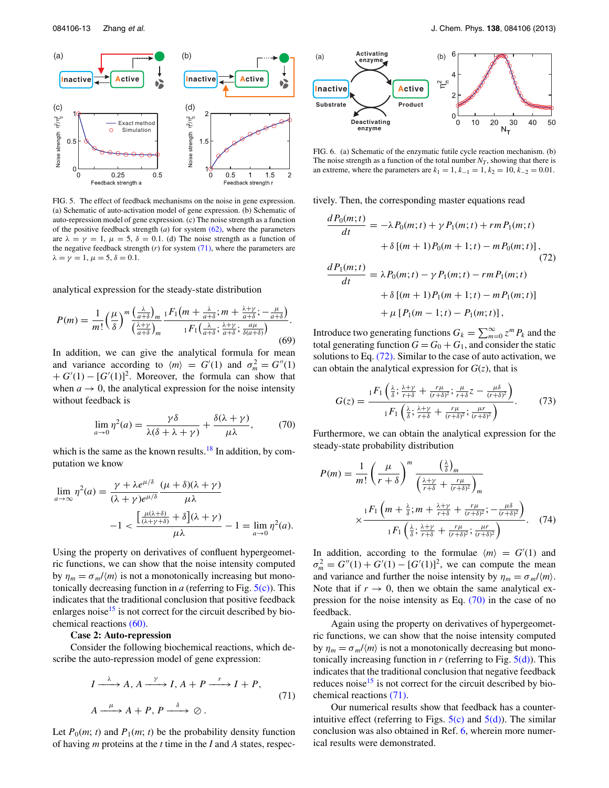<span id="page-12-1"></span>

FIG. 5. The effect of feedback mechanisms on the noise in gene expression. (a) Schematic of auto-activation model of gene expression. (b) Schematic of auto-repression model of gene expression. (c) The noise strength as a function of the positive feedback strength  $(a)$  for system  $(62)$ , where the parameters are  $\lambda = \gamma = 1$ ,  $\mu = 5$ ,  $\delta = 0.1$ . (d) The noise strength as a function of the negative feedback strength  $(r)$  for system  $(71)$ , where the parameters are  $λ = γ = 1, μ = 5, δ = 0.1.$ 

analytical expression for the steady-state distribution

$$
P(m) = \frac{1}{m!} \left(\frac{\mu}{\delta}\right)^m \frac{\left(\frac{\lambda}{a+\delta}\right)_m}{\left(\frac{\lambda+\gamma}{a+\delta}\right)_m} \frac{{}_1F_1\left(m + \frac{\lambda}{a+\delta}; m + \frac{\lambda+\gamma}{a+\delta}; -\frac{\mu}{a+\delta}\right)}{{}_1F_1\left(\frac{\lambda}{a+\delta}; \frac{\lambda+\gamma}{a+\delta}; \frac{a\mu}{\delta(a+\delta)}\right)}.
$$
\n(69)

In addition, we can give the analytical formula for mean and variance according to  $\langle m \rangle = G'(1)$  and  $\sigma_m^2 = G''(1)$  $+ G'(1) - [G'(1)]^2$ . Moreover, the formula can show that when  $a \rightarrow 0$ , the analytical expression for the noise intensity without feedback is

<span id="page-12-3"></span><span id="page-12-0"></span>
$$
\lim_{a \to 0} \eta^2(a) = \frac{\gamma \delta}{\lambda(\delta + \lambda + \gamma)} + \frac{\delta(\lambda + \gamma)}{\mu \lambda},\tag{70}
$$

which is the same as the known results.<sup>[18](#page-14-26)</sup> In addition, by computation we know

$$
\lim_{a \to \infty} \eta^2(a) = \frac{\gamma + \lambda e^{\mu/\delta}}{(\lambda + \gamma)e^{\mu/\delta}} \frac{(\mu + \delta)(\lambda + \gamma)}{\mu \lambda}
$$

$$
-1 < \frac{\left[\frac{\mu(\lambda + \delta)}{(\lambda + \gamma + \delta)} + \delta\right](\lambda + \gamma)}{\mu \lambda} - 1 = \lim_{a \to 0} \eta^2(a).
$$

Using the property on derivatives of confluent hypergeometric functions, we can show that the noise intensity computed by  $\eta_m = \sigma_m / \langle m \rangle$  is not a monotonically increasing but monotonically decreasing function in *a* (referring to Fig.  $5(c)$ ). This indicates that the traditional conclusion that positive feedback enlarges noise $15$  is not correct for the circuit described by biochemical reactions [\(60\).](#page-11-4)

#### **Case 2: Auto-repression**

Consider the following biochemical reactions, which describe the auto-repression model of gene expression:

$$
I \xrightarrow{\lambda} A, A \xrightarrow{\gamma} I, A + P \xrightarrow{r} I + P,
$$
  
\n
$$
A \xrightarrow{\mu} A + P, P \xrightarrow{\delta} \oslash.
$$
\n(71)

Let  $P_0(m; t)$  and  $P_1(m; t)$  be the probability density function of having *m* proteins at the *t* time in the *I* and *A* states, respec-

<span id="page-12-4"></span>

FIG. 6. (a) Schematic of the enzymatic futile cycle reaction mechanism. (b) The noise strength as a function of the total number  $N_T$ , showing that there is an extreme, where the parameters are  $k_1 = 1, k_{-1} = 1, k_2 = 10, k_{-2} = 0.01$ .

tively. Then, the corresponding master equations read

<span id="page-12-2"></span>
$$
\frac{dP_0(m;t)}{dt} = -\lambda P_0(m;t) + \gamma P_1(m;t) + rm P_1(m;t) \n+ \delta [(m+1)P_0(m+1;t) - m P_0(m;t)],
$$
\n(72)  
\n
$$
\frac{dP_1(m;t)}{dt} = \lambda P_0(m;t) - \gamma P_1(m;t) - rm P_1(m;t) \n+ \delta [(m+1)P_1(m+1;t) - m P_1(m;t)] \n+ \mu [P_1(m-1;t) - P_1(m;t)],
$$

Introduce two generating functions  $G_k = \sum_{m=0}^{\infty} z^m P_k$  and the total generating function  $G = G_0 + G_1$ , and consider the static solutions to Eq. [\(72\).](#page-12-2) Similar to the case of auto activation, we can obtain the analytical expression for  $G(z)$ , that is

$$
G(z) = \frac{{}_1F_1\left(\frac{\lambda}{\delta};\frac{\lambda+\gamma}{r+\delta} + \frac{r\mu}{(r+\delta)^2};\frac{\mu}{r+\delta}z - \frac{\mu\delta}{(r+\delta)^2}\right)}{{}_1F_1\left(\frac{\lambda}{\delta};\frac{\lambda+\gamma}{r+\delta} + \frac{r\mu}{(r+\delta)^2};\frac{\mu r}{(r+\delta)^2}\right)}.
$$
(73)

Furthermore, we can obtain the analytical expression for the steady-state probability distribution

$$
P(m) = \frac{1}{m!} \left(\frac{\mu}{r+\delta}\right)^m \frac{\left(\frac{\lambda}{\delta}\right)_m}{\left(\frac{\lambda+\gamma}{r+\delta} + \frac{r\mu}{(r+\delta)^2}\right)_m}
$$

$$
\times \frac{{}_{1}F_1\left(m+\frac{\lambda}{\delta}; m+\frac{\lambda+\gamma}{r+\delta} + \frac{r\mu}{(r+\delta)^2}; -\frac{\mu\delta}{(r+\delta)^2}\right)}{{}_{1}F_1\left(\frac{\lambda}{\delta}; \frac{\lambda+\gamma}{r+\delta} + \frac{r\mu}{(r+\delta)^2}; \frac{\mu r}{(r+\delta)^2}\right)}.
$$
(74)

In addition, according to the formulae  $\langle m \rangle = G'(1)$  and  $\sigma_m^2 = G''(1) + G'(1) - [G'(1)]^2$ , we can compute the mean and variance and further the noise intensity by  $\eta_m = \sigma_m / \langle m \rangle$ . Note that if  $r \to 0$ , then we obtain the same analytical expression for the noise intensity as Eq. [\(70\)](#page-12-3) in the case of no feedback.

Again using the property on derivatives of hypergeometric functions, we can show that the noise intensity computed by  $\eta_m = \sigma_m / \langle m \rangle$  is not a monotonically decreasing but monotonically increasing function in  $r$  (referring to Fig.  $5(d)$ ). This indicates that the traditional conclusion that negative feedback reduces noise $15$  is not correct for the circuit described by biochemical reactions [\(71\).](#page-12-0)

Our numerical results show that feedback has a counterintuitive effect (referring to Figs.  $5(c)$  and  $5(d)$ ). The similar conclusion was also obtained in Ref. [6,](#page-14-4) wherein more numerical results were demonstrated.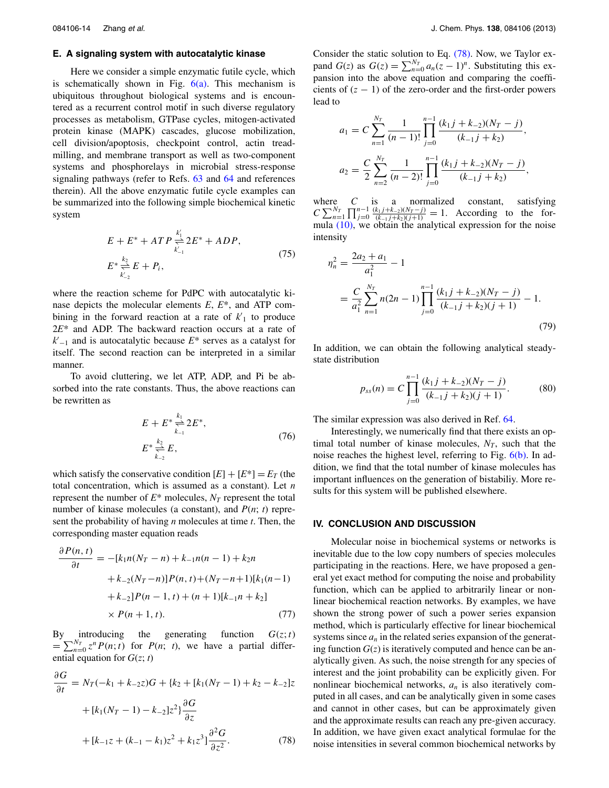## **E. A signaling system with autocatalytic kinase**

Here we consider a simple enzymatic futile cycle, which is schematically shown in Fig.  $6(a)$ . This mechanism is ubiquitous throughout biological systems and is encountered as a recurrent control motif in such diverse regulatory processes as metabolism, GTPase cycles, mitogen-activated protein kinase (MAPK) cascades, glucose mobilization, cell division/apoptosis, checkpoint control, actin treadmilling, and membrane transport as well as two-component systems and phosphorelays in microbial stress-response signaling pathways (refer to Refs. [63](#page-15-7) and [64](#page-15-8) and references therein). All the above enzymatic futile cycle examples can be summarized into the following simple biochemical kinetic system

$$
E + E^* + ATP \underset{k'_{-1}}{\overset{k'_1}{\rightleftharpoons}} 2E^* + ADP,
$$
  
\n
$$
E^* \underset{k'_{-2}}{\overset{k_2}{\rightleftharpoons}} E + P_i,
$$
\n(75)

where the reaction scheme for PdPC with autocatalytic kinase depicts the molecular elements *E*, *E*\*, and ATP combining in the forward reaction at a rate of  $k_1$  to produce 2*E*\* and ADP. The backward reaction occurs at a rate of *k* <sup>−</sup><sup>1</sup> and is autocatalytic because *E*\* serves as a catalyst for itself. The second reaction can be interpreted in a similar manner.

To avoid cluttering, we let ATP, ADP, and Pi be absorbed into the rate constants. Thus, the above reactions can be rewritten as

$$
E + E^* \sum_{k=1}^{k_1} 2E^*,
$$
  
\n
$$
E^* \sum_{k=2}^{k_2} E,
$$
\n(76)

which satisfy the conservative condition  $[E] + [E^*] = E_T$  (the total concentration, which is assumed as a constant). Let *n* represent the number of  $E^*$  molecules,  $N_T$  represent the total number of kinase molecules (a constant), and *P*(*n*; *t*) represent the probability of having *n* molecules at time *t*. Then, the corresponding master equation reads

$$
\frac{\partial P(n,t)}{\partial t} = -[k_1 n(N_T - n) + k_{-1} n(n-1) + k_2 n
$$
  
+ k\_{-2}(N\_T - n)]P(n,t)+(N\_T - n+1)[k\_1(n-1)  
+ k\_{-2}]P(n-1,t) + (n+1)[k\_{-1}n + k\_2]  
\times P(n+1,t). (77)

By introducing the generating function  $G(z; t)$  $=\sum_{n=0}^{N_T} z^n P(n;t)$  for  $P(n; t)$ , we have a partial differential equation for *G*(*z*; *t*)

<span id="page-13-0"></span>
$$
\frac{\partial G}{\partial t} = N_T(-k_1 + k_{-2}z)G + \{k_2 + [k_1(N_T - 1) + k_2 - k_{-2}]z + [k_1(N_T - 1) - k_{-2}]z^2\}\frac{\partial G}{\partial z} \n+ [k_{-1}z + (k_{-1} - k_1)z^2 + k_1z^3]\frac{\partial^2 G}{\partial z^2}.
$$
\n(78)

Consider the static solution to Eq. [\(78\).](#page-13-0) Now, we Taylor expand  $G(z)$  as  $G(z) = \sum_{n=0}^{N_T} a_n(z-1)^n$ . Substituting this expansion into the above equation and comparing the coefficients of  $(z - 1)$  of the zero-order and the first-order powers lead to

$$
a_1 = C \sum_{n=1}^{N_T} \frac{1}{(n-1)!} \prod_{j=0}^{n-1} \frac{(k_1 j + k_{-2})(N_T - j)}{(k_{-1} j + k_2)},
$$
  

$$
a_2 = \frac{C}{2} \sum_{n=2}^{N_T} \frac{1}{(n-2)!} \prod_{j=0}^{n-1} \frac{(k_1 j + k_{-2})(N_T - j)}{(k_{-1} j + k_2)},
$$

where *C* is a normalized constant, satisfying  $C \sum_{n=1}^{N_T} \prod_{j=0}^{n-1} \frac{(k_1 j + k_2)(N_T - j)}{(k_{-1} j + k_2)(j_1 + 1)} = 1$ . According to the formula [\(10\),](#page-2-2) we obtain the analytical expression for the noise intensity

$$
\eta_n^2 = \frac{2a_2 + a_1}{a_1^2} - 1
$$
  
= 
$$
\frac{C}{a_1^2} \sum_{n=1}^{N_T} n(2n - 1) \prod_{j=0}^{n-1} \frac{(k_1 j + k_{-2})(N_T - j)}{(k_{-1} j + k_2)(j + 1)} - 1.
$$
 (79)

In addition, we can obtain the following analytical steadystate distribution

$$
p_{ss}(n) = C \prod_{j=0}^{n-1} \frac{(k_1 j + k_{-2})(N_T - j)}{(k_{-1} j + k_2)(j + 1)}.
$$
 (80)

The similar expression was also derived in Ref. [64.](#page-15-8)

Interestingly, we numerically find that there exists an optimal total number of kinase molecules,  $N_T$ , such that the noise reaches the highest level, referring to Fig. [6\(b\).](#page-12-4) In addition, we find that the total number of kinase molecules has important influences on the generation of bistabiliy. More results for this system will be published elsewhere.

## **IV. CONCLUSION AND DISCUSSION**

Molecular noise in biochemical systems or networks is inevitable due to the low copy numbers of species molecules participating in the reactions. Here, we have proposed a general yet exact method for computing the noise and probability function, which can be applied to arbitrarily linear or nonlinear biochemical reaction networks. By examples, we have shown the strong power of such a power series expansion method, which is particularly effective for linear biochemical systems since  $a_n$  in the related series expansion of the generating function  $G(z)$  is iteratively computed and hence can be analytically given. As such, the noise strength for any species of interest and the joint probability can be explicitly given. For nonlinear biochemical networks, *an* is also iteratively computed in all cases, and can be analytically given in some cases and cannot in other cases, but can be approximately given and the approximate results can reach any pre-given accuracy. In addition, we have given exact analytical formulae for the noise intensities in several common biochemical networks by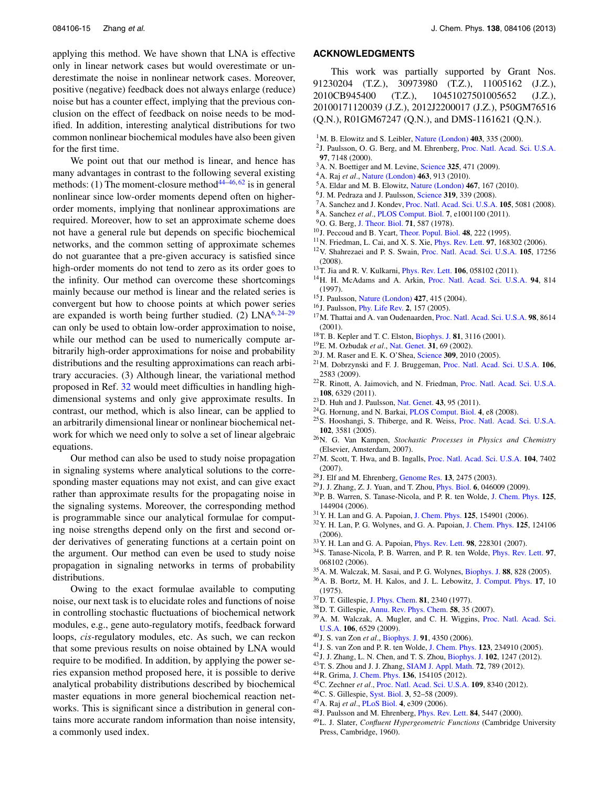applying this method. We have shown that LNA is effective only in linear network cases but would overestimate or underestimate the noise in nonlinear network cases. Moreover, positive (negative) feedback does not always enlarge (reduce)

noise but has a counter effect, implying that the previous conclusion on the effect of feedback on noise needs to be modified. In addition, interesting analytical distributions for two common nonlinear biochemical modules have also been given for the first time.

We point out that our method is linear, and hence has many advantages in contrast to the following several existing methods: (1) The moment-closure method $44-46, 62$  $44-46, 62$  $44-46, 62$  is in general nonlinear since low-order moments depend often on higherorder moments, implying that nonlinear approximations are required. Moreover, how to set an approximate scheme does not have a general rule but depends on specific biochemical networks, and the common setting of approximate schemes do not guarantee that a pre-given accuracy is satisfied since high-order moments do not tend to zero as its order goes to the infinity. Our method can overcome these shortcomings mainly because our method is linear and the related series is convergent but how to choose points at which power series are expanded is worth being further studied. (2)  $LNA^{6,24-29}$  $LNA^{6,24-29}$  $LNA^{6,24-29}$  $LNA^{6,24-29}$  $LNA^{6,24-29}$ can only be used to obtain low-order approximation to noise, while our method can be used to numerically compute arbitrarily high-order approximations for noise and probability distributions and the resulting approximations can reach arbitrary accuracies. (3) Although linear, the variational method proposed in Ref. [32](#page-14-30) would meet difficulties in handling highdimensional systems and only give approximate results. In contrast, our method, which is also linear, can be applied to an arbitrarily dimensional linear or nonlinear biochemical network for which we need only to solve a set of linear algebraic equations.

Our method can also be used to study noise propagation in signaling systems where analytical solutions to the corresponding master equations may not exist, and can give exact rather than approximate results for the propagating noise in the signaling systems. Moreover, the corresponding method is programmable since our analytical formulae for computing noise strengths depend only on the first and second order derivatives of generating functions at a certain point on the argument. Our method can even be used to study noise propagation in signaling networks in terms of probability distributions.

Owing to the exact formulae available to computing noise, our next task is to elucidate roles and functions of noise in controlling stochastic fluctuations of biochemical network modules, e.g., gene auto-regulatory motifs, feedback forward loops, *cis-*regulatory modules, etc. As such, we can reckon that some previous results on noise obtained by LNA would require to be modified. In addition, by applying the power series expansion method proposed here, it is possible to derive analytical probability distributions described by biochemical master equations in more general biochemical reaction networks. This is significant since a distribution in general contains more accurate random information than noise intensity, a commonly used index.

### **ACKNOWLEDGMENTS**

This work was partially supported by Grant Nos. 91230204 (T.Z.), 30973980 (T.Z.), 11005162 (J.Z.), 2010CB945400 (T.Z.), 10451027501005652 (J.Z.), 20100171120039 (J.Z.), 2012J2200017 (J.Z.), P50GM76516 (Q.N.), R01GM67247 (Q.N.), and DMS-1161621 (Q.N.).

- <span id="page-14-1"></span><span id="page-14-0"></span>1M. B. Elowitz and S. Leibler, [Nature \(London\)](http://dx.doi.org/10.1038/35002125) **403**, 335 (2000).
- 2J. Paulsson, O. G. Berg, and M. Ehrenberg, [Proc. Natl. Acad. Sci. U.S.A.](http://dx.doi.org/10.1073/pnas.110057697) **97**, 7148 (2000).
- <span id="page-14-2"></span>3A. N. Boettiger and M. Levine, [Science](http://dx.doi.org/10.1126/science.1173976) **325**, 471 (2009).
- <span id="page-14-3"></span>4A. Raj *et al.*, [Nature \(London\)](http://dx.doi.org/10.1038/nature08781) **463**, 913 (2010).
- <span id="page-14-4"></span>5A. Eldar and M. B. Elowitz, [Nature \(London\)](http://dx.doi.org/10.1038/nature09326) **467**, 167 (2010).
- 6J. M. Pedraza and J. Paulsson, [Science](http://dx.doi.org/10.1126/science.1144331) **319**, 339 (2008).
- 7A. Sanchez and J. Kondev, [Proc. Natl. Acad. Sci. U.S.A.](http://dx.doi.org/10.1073/pnas.0707904105) **105**, 5081 (2008).
- 8A. Sanchez *et al.*, [PLOS Comput. Biol.](http://dx.doi.org/10.1371/journal.pcbi.1001100) **7**, e1001100 (2011).
- 9O. G. Berg, [J. Theor. Biol.](http://dx.doi.org/10.1016/0022-5193(78)90326-0) **71**, 587 (1978).
- <span id="page-14-24"></span>10J. Peccoud and B. Ycart, [Theor. Popul. Biol.](http://dx.doi.org/10.1006/tpbi.1995.1027) **48**, 222 (1995).
- <span id="page-14-25"></span>11N. Friedman, L. Cai, and X. S. Xie, [Phys. Rev. Lett.](http://dx.doi.org/10.1103/PhysRevLett.97.168302) **97**, 168302 (2006).
- 12V. Shahrezaei and P. S. Swain, [Proc. Natl. Acad. Sci. U.S.A.](http://dx.doi.org/10.1073/pnas.0803850105) **105**, 17256 (2008).
- 13T. Jia and R. V. Kulkarni, [Phys. Rev. Lett.](http://dx.doi.org/10.1103/PhysRevLett.106.058102) **106**, 058102 (2011).
- 14H. H. McAdams and A. Arkin, [Proc. Natl. Acad. Sci. U.S.A.](http://dx.doi.org/10.1073/pnas.94.3.814) **94**, 814 (1997).
- <span id="page-14-7"></span><span id="page-14-6"></span>15J. Paulsson, [Nature \(London\)](http://dx.doi.org/10.1038/nature02257) **427**, 415 (2004).
- 16J. Paulsson, [Phy. Life Rev.](http://dx.doi.org/10.1016/j.plrev.2005.03.003) **2**, 157 (2005).
- 17M. Thattai and A. van Oudenaarden, [Proc. Natl. Acad. Sci. U.S.A.](http://dx.doi.org/10.1073/pnas.151588598) **98**, 8614 (2001).
- <span id="page-14-26"></span>18T. B. Kepler and T. C. Elston, [Biophys. J.](http://dx.doi.org/10.1016/S0006-3495(01)75949-8) **81**, 3116 (2001).
- 19E. M. Ozbudak *et al.*, [Nat. Genet.](http://dx.doi.org/10.1038/ng869) **31**, 69 (2002).
- 20J. M. Raser and E. K. O'Shea, [Science](http://dx.doi.org/10.1126/science.1105891) **309**, 2010 (2005).
- 21M. Dobrzynski and F. J. Bruggeman, [Proc. Natl. Acad. Sci. U.S.A.](http://dx.doi.org/10.1073/pnas.0803507106) **106**, 2583 (2009).
- 22R. Rinott, A. Jaimovich, and N. Friedman, [Proc. Natl. Acad. Sci. U.S.A.](http://dx.doi.org/10.1073/pnas.1013148108) **108**, 6329 (2011).
- <span id="page-14-5"></span>23D. Huh and J. Paulsson, [Nat. Genet.](http://dx.doi.org/10.1038/ng.729) **43**, 95 (2011).
- 24G. Hornung, and N. Barkai, [PLOS Comput. Biol.](http://dx.doi.org/10.1371/journal.pcbi.0040008) **4**, e8 (2008).
- 25S. Hooshangi, S. Thiberge, and R. Weiss, [Proc. Natl. Acad. Sci. U.S.A.](http://dx.doi.org/10.1073/pnas.0408507102) **102**, 3581 (2005).
- 26N. G. Van Kampen, *Stochastic Processes in Physics and Chemistry* (Elsevier, Amsterdam, 2007).
- 27M. Scott, T. Hwa, and B. Ingalls, [Proc. Natl. Acad. Sci. U.S.A.](http://dx.doi.org/10.1073/pnas.0610468104) **104**, 7402 (2007).
- <span id="page-14-8"></span>28J. Elf and M. Ehrenberg, [Genome Res.](http://dx.doi.org/10.1101/gr.1196503) **13**, 2475 (2003).
- <span id="page-14-9"></span>29J. J. Zhang, Z. J. Yuan, and T. Zhou, [Phys. Biol.](http://dx.doi.org/10.1088/1478-3975/6/4/046009) **6**, 046009 (2009).
- 30P. B. Warren, S. Tanase-Nicola, and P. R. ten Wolde, [J. Chem. Phys.](http://dx.doi.org/10.1063/1.2356472) **125**, 144904 (2006).
- <span id="page-14-30"></span><span id="page-14-10"></span>31Y. H. Lan and G. A. Papoian, [J. Chem. Phys.](http://dx.doi.org/10.1063/1.2358342) **125**, 154901 (2006).
- 32Y. H. Lan, P. G. Wolynes, and G. A. Papoian, [J. Chem. Phys.](http://dx.doi.org/10.1063/1.2353835) **125**, 124106 (2006).
- <span id="page-14-11"></span>33Y. H. Lan and G. A. Papoian, [Phys. Rev. Lett.](http://dx.doi.org/10.1103/PhysRevLett.98.228301) **98**, 228301 (2007).
- <span id="page-14-12"></span>34S. Tanase-Nicola, P. B. Warren, and P. R. ten Wolde, [Phys. Rev. Lett.](http://dx.doi.org/10.1103/PhysRevLett.97.068102) **97**, 068102 (2006).
- <span id="page-14-14"></span><span id="page-14-13"></span>35A. M. Walczak, M. Sasai, and P. G. Wolynes, [Biophys. J.](http://dx.doi.org/10.1529/biophysj.104.050666) **88**, 828 (2005).
- 36A. B. Bortz, M. H. Kalos, and J. L. Lebowitz, [J. Comput. Phys.](http://dx.doi.org/10.1016/0021-9991(75)90060-1) **17**, 10 (1975).
- <span id="page-14-16"></span><span id="page-14-15"></span>37D. T. Gillespie, [J. Phys. Chem.](http://dx.doi.org/10.1021/j100540a008) **81**, 2340 (1977).
- <span id="page-14-17"></span>38D. T. Gillespie, [Annu. Rev. Phys. Chem.](http://dx.doi.org/10.1146/annurev.physchem.58.032806.104637) **58**, 35 (2007).
- 39A. M. Walczak, A. Mugler, and C. H. Wiggins, [Proc. Natl. Acad. Sci.](http://dx.doi.org/10.1073/pnas.0811999106) [U.S.A.](http://dx.doi.org/10.1073/pnas.0811999106) **106**, 6529 (2009).
- <span id="page-14-18"></span>40J. S. van Zon *et al.*, [Biophys. J.](http://dx.doi.org/10.1529/biophysj.106.086157) **91**, 4350 (2006).
- <span id="page-14-20"></span><span id="page-14-19"></span>41J. S. van Zon and P. R. ten Wolde, [J. Chem. Phys.](http://dx.doi.org/10.1063/1.2137716) **123**, 234910 (2005).
- <span id="page-14-21"></span>42J. J. Zhang, L. N. Chen, and T. S. Zhou, [Biophys. J.](http://dx.doi.org/10.1016/j.bpj.2012.02.001) **102**, 1247 (2012).
- <span id="page-14-22"></span>43T. S. Zhou and J. J. Zhang, [SIAM J. Appl. Math.](http://dx.doi.org/10.1137/110852887) **72**, 789 (2012).
- 44R. Grima, [J. Chem. Phys.](http://dx.doi.org/10.1063/1.3702848) **136**, 154105 (2012).
- <span id="page-14-23"></span>45C. Zechner *et al.*, [Proc. Natl. Acad. Sci. U.S.A.](http://dx.doi.org/10.1073/pnas.1200161109) **109**, 8340 (2012).
- 46C. S. Gillespie, [Syst. Biol.](http://dx.doi.org/10.1049/iet-syb:20070031) **3**, 52–58 (2009).
- <span id="page-14-27"></span>47A. Raj *et al.*, [PLoS Biol.](http://dx.doi.org/10.1371/journal.pbio.0040309) **4**, e309 (2006).
- <span id="page-14-28"></span>48J. Paulsson and M. Ehrenberg, [Phys. Rev. Lett.](http://dx.doi.org/10.1103/PhysRevLett.84.5447) **84**, 5447 (2000).
- <span id="page-14-29"></span>49L. J. Slater, *Confluent Hypergeometric Functions* (Cambridge University Press, Cambridge, 1960).